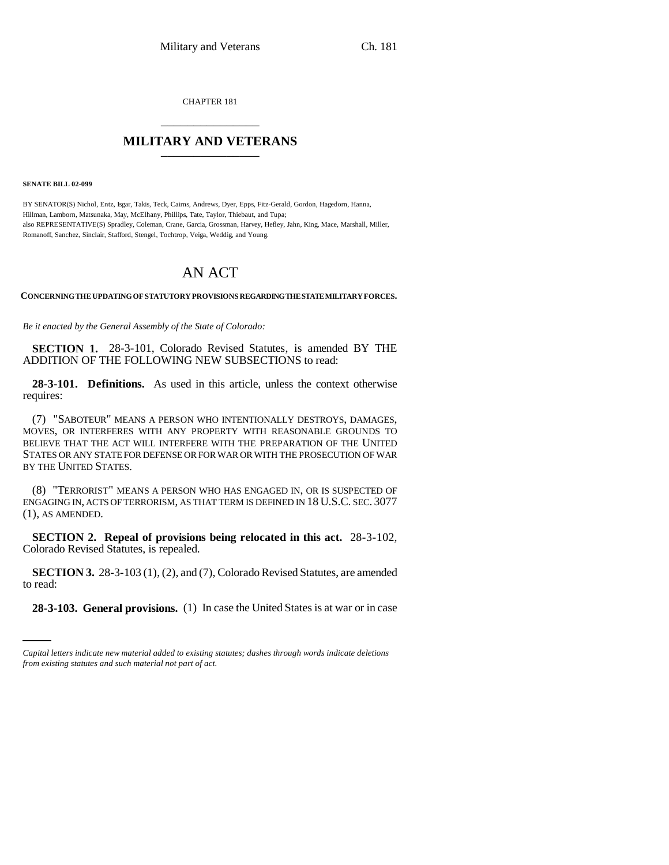CHAPTER 181 \_\_\_\_\_\_\_\_\_\_\_\_\_\_\_

## **MILITARY AND VETERANS** \_\_\_\_\_\_\_\_\_\_\_\_\_\_\_

**SENATE BILL 02-099**

BY SENATOR(S) Nichol, Entz, Isgar, Takis, Teck, Cairns, Andrews, Dyer, Epps, Fitz-Gerald, Gordon, Hagedorn, Hanna, Hillman, Lamborn, Matsunaka, May, McElhany, Phillips, Tate, Taylor, Thiebaut, and Tupa; also REPRESENTATIVE(S) Spradley, Coleman, Crane, Garcia, Grossman, Harvey, Hefley, Jahn, King, Mace, Marshall, Miller, Romanoff, Sanchez, Sinclair, Stafford, Stengel, Tochtrop, Veiga, Weddig, and Young.

# AN ACT

**CONCERNING THE UPDATING OF STATUTORY PROVISIONS REGARDING THE STATE MILITARY FORCES.**

*Be it enacted by the General Assembly of the State of Colorado:*

**SECTION 1.** 28-3-101, Colorado Revised Statutes, is amended BY THE ADDITION OF THE FOLLOWING NEW SUBSECTIONS to read:

**28-3-101. Definitions.** As used in this article, unless the context otherwise requires:

(7) "SABOTEUR" MEANS A PERSON WHO INTENTIONALLY DESTROYS, DAMAGES, MOVES, OR INTERFERES WITH ANY PROPERTY WITH REASONABLE GROUNDS TO BELIEVE THAT THE ACT WILL INTERFERE WITH THE PREPARATION OF THE UNITED STATES OR ANY STATE FOR DEFENSE OR FOR WAR OR WITH THE PROSECUTION OF WAR BY THE UNITED STATES.

(8) "TERRORIST" MEANS A PERSON WHO HAS ENGAGED IN, OR IS SUSPECTED OF ENGAGING IN, ACTS OF TERRORISM, AS THAT TERM IS DEFINED IN 18 U.S.C. SEC. 3077 (1), AS AMENDED.

**SECTION 2. Repeal of provisions being relocated in this act.** 28-3-102, Colorado Revised Statutes, is repealed.

to read: **SECTION 3.** 28-3-103 (1), (2), and (7), Colorado Revised Statutes, are amended

**28-3-103. General provisions.** (1) In case the United States is at war or in case

*Capital letters indicate new material added to existing statutes; dashes through words indicate deletions from existing statutes and such material not part of act.*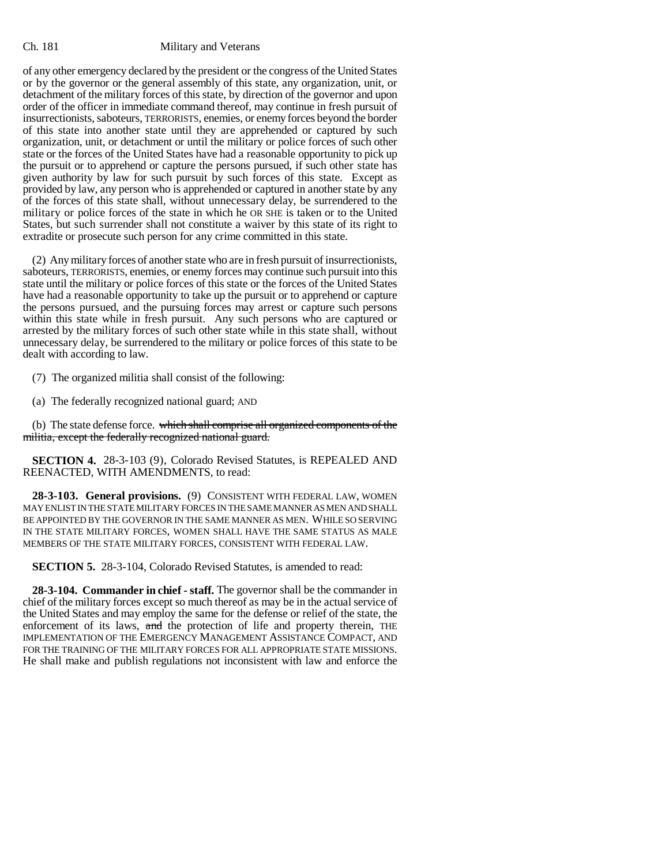of any other emergency declared by the president or the congress of the United States or by the governor or the general assembly of this state, any organization, unit, or detachment of the military forces of this state, by direction of the governor and upon order of the officer in immediate command thereof, may continue in fresh pursuit of insurrectionists, saboteurs, TERRORISTS, enemies, or enemy forces beyond the border of this state into another state until they are apprehended or captured by such organization, unit, or detachment or until the military or police forces of such other state or the forces of the United States have had a reasonable opportunity to pick up the pursuit or to apprehend or capture the persons pursued, if such other state has given authority by law for such pursuit by such forces of this state. Except as provided by law, any person who is apprehended or captured in another state by any of the forces of this state shall, without unnecessary delay, be surrendered to the military or police forces of the state in which he OR SHE is taken or to the United States, but such surrender shall not constitute a waiver by this state of its right to extradite or prosecute such person for any crime committed in this state.

(2) Any military forces of another state who are in fresh pursuit of insurrectionists, saboteurs, TERRORISTS, enemies, or enemy forces may continue such pursuit into this state until the military or police forces of this state or the forces of the United States have had a reasonable opportunity to take up the pursuit or to apprehend or capture the persons pursued, and the pursuing forces may arrest or capture such persons within this state while in fresh pursuit. Any such persons who are captured or arrested by the military forces of such other state while in this state shall, without unnecessary delay, be surrendered to the military or police forces of this state to be dealt with according to law.

(7) The organized militia shall consist of the following:

(a) The federally recognized national guard; AND

(b) The state defense force. which shall comprise all organized components of the militia, except the federally recognized national guard.

**SECTION 4.** 28-3-103 (9), Colorado Revised Statutes, is REPEALED AND REENACTED, WITH AMENDMENTS, to read:

**28-3-103. General provisions.** (9) CONSISTENT WITH FEDERAL LAW, WOMEN MAY ENLIST IN THE STATE MILITARY FORCES IN THE SAME MANNER AS MEN AND SHALL BE APPOINTED BY THE GOVERNOR IN THE SAME MANNER AS MEN. WHILE SO SERVING IN THE STATE MILITARY FORCES, WOMEN SHALL HAVE THE SAME STATUS AS MALE MEMBERS OF THE STATE MILITARY FORCES, CONSISTENT WITH FEDERAL LAW.

**SECTION 5.** 28-3-104, Colorado Revised Statutes, is amended to read:

**28-3-104. Commander in chief - staff.** The governor shall be the commander in chief of the military forces except so much thereof as may be in the actual service of the United States and may employ the same for the defense or relief of the state, the enforcement of its laws, and the protection of life and property therein, THE IMPLEMENTATION OF THE EMERGENCY MANAGEMENT ASSISTANCE COMPACT, AND FOR THE TRAINING OF THE MILITARY FORCES FOR ALL APPROPRIATE STATE MISSIONS. He shall make and publish regulations not inconsistent with law and enforce the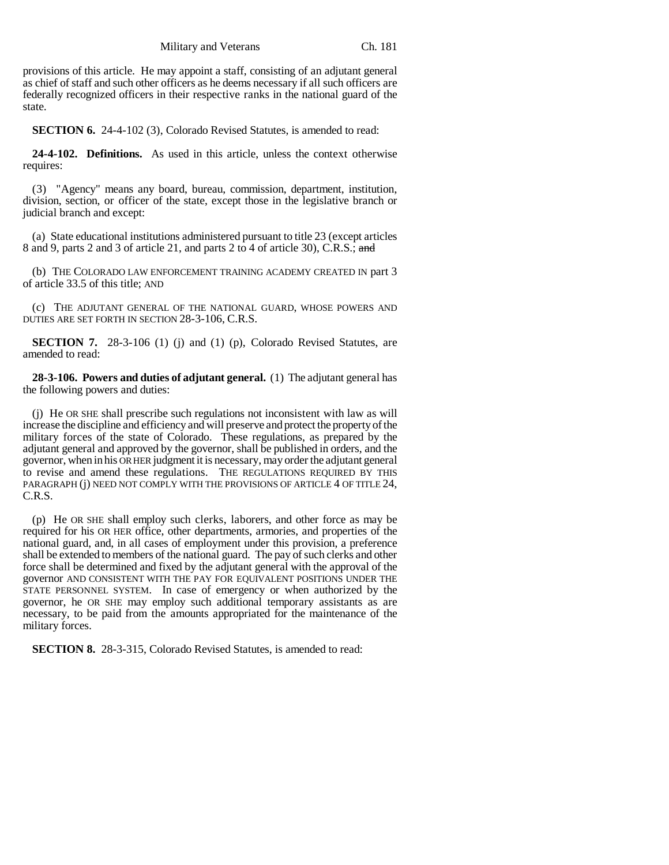provisions of this article. He may appoint a staff, consisting of an adjutant general as chief of staff and such other officers as he deems necessary if all such officers are federally recognized officers in their respective ranks in the national guard of the state.

**SECTION 6.** 24-4-102 (3), Colorado Revised Statutes, is amended to read:

**24-4-102. Definitions.** As used in this article, unless the context otherwise requires:

(3) "Agency" means any board, bureau, commission, department, institution, division, section, or officer of the state, except those in the legislative branch or judicial branch and except:

(a) State educational institutions administered pursuant to title 23 (except articles 8 and 9, parts 2 and 3 of article 21, and parts 2 to 4 of article 30), C.R.S.; and

(b) THE COLORADO LAW ENFORCEMENT TRAINING ACADEMY CREATED IN part 3 of article 33.5 of this title; AND

(c) THE ADJUTANT GENERAL OF THE NATIONAL GUARD, WHOSE POWERS AND DUTIES ARE SET FORTH IN SECTION 28-3-106, C.R.S.

**SECTION 7.** 28-3-106 (1) (j) and (1) (p), Colorado Revised Statutes, are amended to read:

**28-3-106. Powers and duties of adjutant general.** (1) The adjutant general has the following powers and duties:

(j) He OR SHE shall prescribe such regulations not inconsistent with law as will increase the discipline and efficiency and will preserve and protect the property of the military forces of the state of Colorado. These regulations, as prepared by the adjutant general and approved by the governor, shall be published in orders, and the governor, when in his OR HER judgment it is necessary, may order the adjutant general to revise and amend these regulations. THE REGULATIONS REQUIRED BY THIS PARAGRAPH (j) NEED NOT COMPLY WITH THE PROVISIONS OF ARTICLE 4 OF TITLE 24, C.R.S.

(p) He OR SHE shall employ such clerks, laborers, and other force as may be required for his OR HER office, other departments, armories, and properties of the national guard, and, in all cases of employment under this provision, a preference shall be extended to members of the national guard. The pay of such clerks and other force shall be determined and fixed by the adjutant general with the approval of the governor AND CONSISTENT WITH THE PAY FOR EQUIVALENT POSITIONS UNDER THE STATE PERSONNEL SYSTEM. In case of emergency or when authorized by the governor, he OR SHE may employ such additional temporary assistants as are necessary, to be paid from the amounts appropriated for the maintenance of the military forces.

**SECTION 8.** 28-3-315, Colorado Revised Statutes, is amended to read: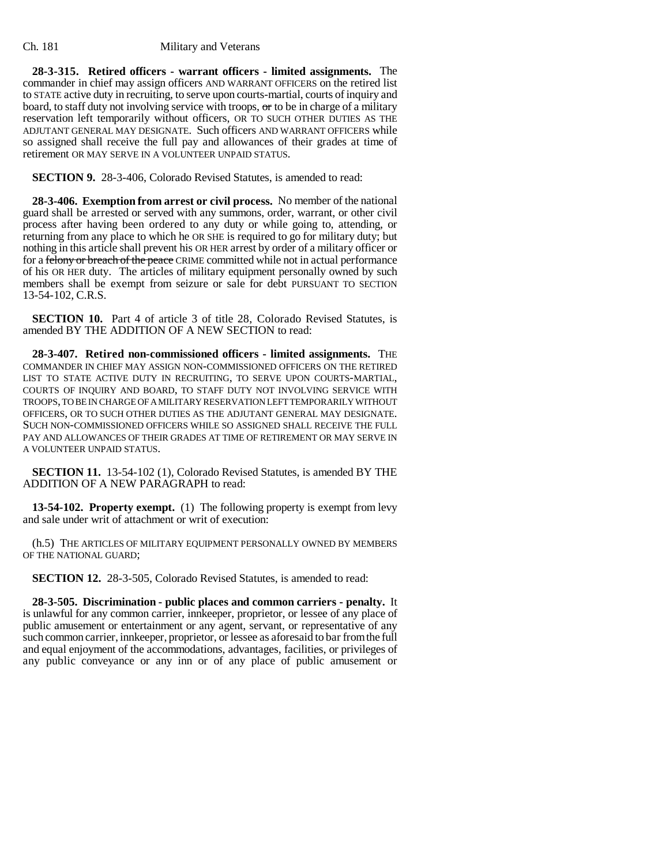**28-3-315. Retired officers - warrant officers - limited assignments.** The commander in chief may assign officers AND WARRANT OFFICERS on the retired list to STATE active duty in recruiting, to serve upon courts-martial, courts of inquiry and board, to staff duty not involving service with troops,  $\sigma$  to be in charge of a military reservation left temporarily without officers, OR TO SUCH OTHER DUTIES AS THE ADJUTANT GENERAL MAY DESIGNATE. Such officers AND WARRANT OFFICERS while so assigned shall receive the full pay and allowances of their grades at time of retirement OR MAY SERVE IN A VOLUNTEER UNPAID STATUS.

**SECTION 9.** 28-3-406, Colorado Revised Statutes, is amended to read:

**28-3-406. Exemption from arrest or civil process.** No member of the national guard shall be arrested or served with any summons, order, warrant, or other civil process after having been ordered to any duty or while going to, attending, or returning from any place to which he OR SHE is required to go for military duty; but nothing in this article shall prevent his OR HER arrest by order of a military officer or for a felony or breach of the peace CRIME committed while not in actual performance of his OR HER duty. The articles of military equipment personally owned by such members shall be exempt from seizure or sale for debt PURSUANT TO SECTION 13-54-102, C.R.S.

**SECTION 10.** Part 4 of article 3 of title 28, Colorado Revised Statutes, is amended BY THE ADDITION OF A NEW SECTION to read:

**28-3-407. Retired non-commissioned officers - limited assignments.** THE COMMANDER IN CHIEF MAY ASSIGN NON-COMMISSIONED OFFICERS ON THE RETIRED LIST TO STATE ACTIVE DUTY IN RECRUITING, TO SERVE UPON COURTS-MARTIAL, COURTS OF INQUIRY AND BOARD, TO STAFF DUTY NOT INVOLVING SERVICE WITH TROOPS, TO BE IN CHARGE OF A MILITARY RESERVATION LEFT TEMPORARILY WITHOUT OFFICERS, OR TO SUCH OTHER DUTIES AS THE ADJUTANT GENERAL MAY DESIGNATE. SUCH NON-COMMISSIONED OFFICERS WHILE SO ASSIGNED SHALL RECEIVE THE FULL PAY AND ALLOWANCES OF THEIR GRADES AT TIME OF RETIREMENT OR MAY SERVE IN A VOLUNTEER UNPAID STATUS.

**SECTION 11.** 13-54-102 (1), Colorado Revised Statutes, is amended BY THE ADDITION OF A NEW PARAGRAPH to read:

**13-54-102. Property exempt.** (1) The following property is exempt from levy and sale under writ of attachment or writ of execution:

(h.5) THE ARTICLES OF MILITARY EQUIPMENT PERSONALLY OWNED BY MEMBERS OF THE NATIONAL GUARD;

**SECTION 12.** 28-3-505, Colorado Revised Statutes, is amended to read:

**28-3-505. Discrimination - public places and common carriers - penalty.** It is unlawful for any common carrier, innkeeper, proprietor, or lessee of any place of public amusement or entertainment or any agent, servant, or representative of any such common carrier, innkeeper, proprietor, or lessee as aforesaid to bar from the full and equal enjoyment of the accommodations, advantages, facilities, or privileges of any public conveyance or any inn or of any place of public amusement or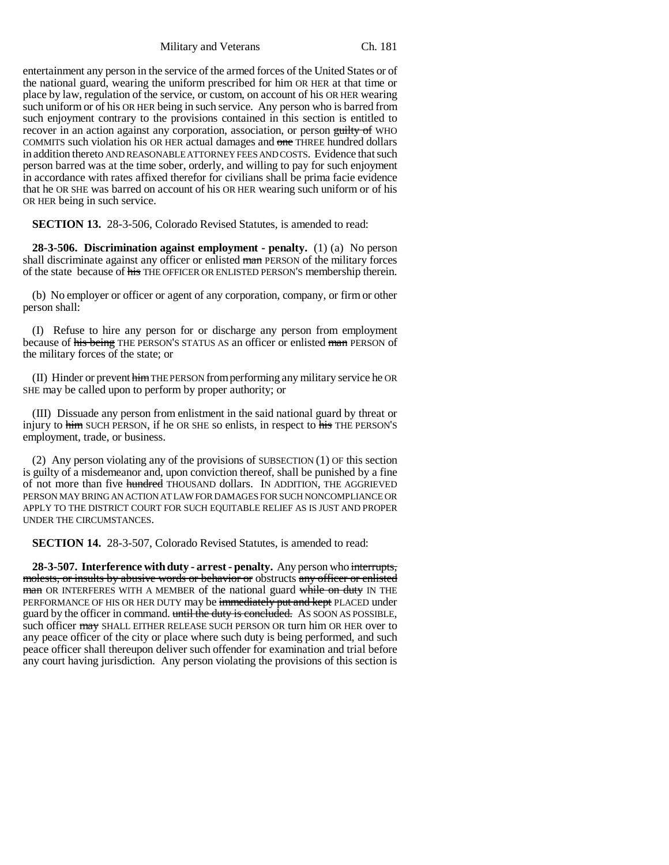entertainment any person in the service of the armed forces of the United States or of the national guard, wearing the uniform prescribed for him OR HER at that time or place by law, regulation of the service, or custom, on account of his OR HER wearing such uniform or of his OR HER being in such service. Any person who is barred from such enjoyment contrary to the provisions contained in this section is entitled to recover in an action against any corporation, association, or person guilty of WHO COMMITS such violation his OR HER actual damages and one THREE hundred dollars in addition thereto AND REASONABLE ATTORNEY FEES AND COSTS. Evidence that such person barred was at the time sober, orderly, and willing to pay for such enjoyment in accordance with rates affixed therefor for civilians shall be prima facie evidence that he OR SHE was barred on account of his OR HER wearing such uniform or of his OR HER being in such service.

**SECTION 13.** 28-3-506, Colorado Revised Statutes, is amended to read:

**28-3-506. Discrimination against employment - penalty.** (1) (a) No person shall discriminate against any officer or enlisted man PERSON of the military forces of the state because of his THE OFFICER OR ENLISTED PERSON'S membership therein.

(b) No employer or officer or agent of any corporation, company, or firm or other person shall:

(I) Refuse to hire any person for or discharge any person from employment because of his being THE PERSON'S STATUS AS an officer or enlisted man PERSON of the military forces of the state; or

(II) Hinder or prevent himTHE PERSON from performing any military service he OR SHE may be called upon to perform by proper authority; or

(III) Dissuade any person from enlistment in the said national guard by threat or injury to him SUCH PERSON, if he OR SHE so enlists, in respect to his THE PERSON'S employment, trade, or business.

(2) Any person violating any of the provisions of SUBSECTION (1) OF this section is guilty of a misdemeanor and, upon conviction thereof, shall be punished by a fine of not more than five hundred THOUSAND dollars. IN ADDITION, THE AGGRIEVED PERSON MAY BRING AN ACTION AT LAW FOR DAMAGES FOR SUCH NONCOMPLIANCE OR APPLY TO THE DISTRICT COURT FOR SUCH EQUITABLE RELIEF AS IS JUST AND PROPER UNDER THE CIRCUMSTANCES.

**SECTION 14.** 28-3-507, Colorado Revised Statutes, is amended to read:

**28-3-507. Interference with duty - arrest - penalty.** Any person who interrupts, molests, or insults by abusive words or behavior or obstructs any officer or enlisted man OR INTERFERES WITH A MEMBER of the national guard while on duty IN THE PERFORMANCE OF HIS OR HER DUTY may be immediately put and kept PLACED under guard by the officer in command. until the duty is concluded. As SOON AS POSSIBLE, such officer may SHALL EITHER RELEASE SUCH PERSON OR turn him OR HER over to any peace officer of the city or place where such duty is being performed, and such peace officer shall thereupon deliver such offender for examination and trial before any court having jurisdiction. Any person violating the provisions of this section is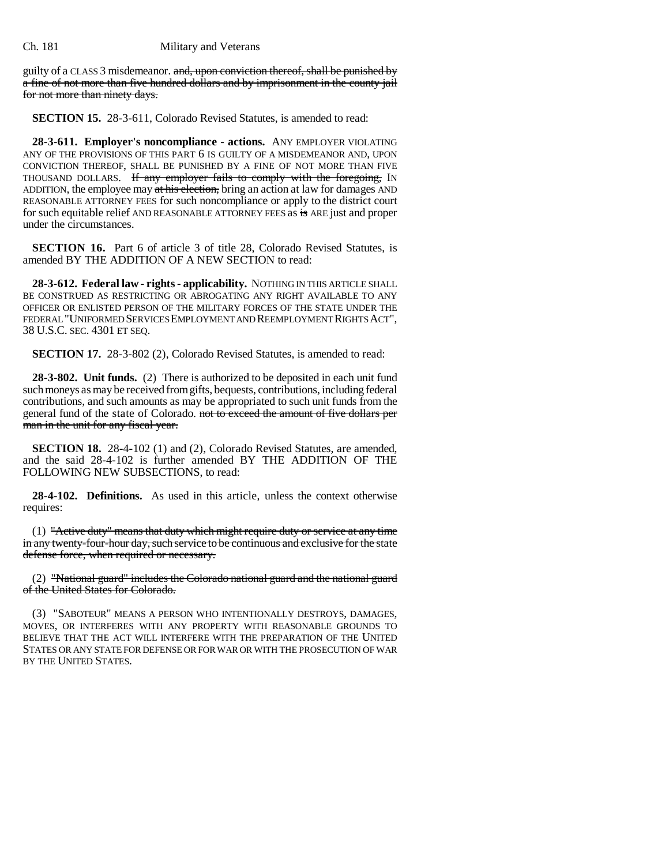guilty of a CLASS 3 misdemeanor. and, upon conviction thereof, shall be punished by a fine of not more than five hundred dollars and by imprisonment in the county jail for not more than ninety days.

**SECTION 15.** 28-3-611, Colorado Revised Statutes, is amended to read:

**28-3-611. Employer's noncompliance - actions.** ANY EMPLOYER VIOLATING ANY OF THE PROVISIONS OF THIS PART 6 IS GUILTY OF A MISDEMEANOR AND, UPON CONVICTION THEREOF, SHALL BE PUNISHED BY A FINE OF NOT MORE THAN FIVE THOUSAND DOLLARS. If any employer fails to comply with the foregoing, IN ADDITION, the employee may at his election, bring an action at law for damages AND REASONABLE ATTORNEY FEES for such noncompliance or apply to the district court for such equitable relief AND REASONABLE ATTORNEY FEES as is ARE just and proper under the circumstances.

**SECTION 16.** Part 6 of article 3 of title 28, Colorado Revised Statutes, is amended BY THE ADDITION OF A NEW SECTION to read:

**28-3-612. Federal law - rights - applicability.** NOTHING IN THIS ARTICLE SHALL BE CONSTRUED AS RESTRICTING OR ABROGATING ANY RIGHT AVAILABLE TO ANY OFFICER OR ENLISTED PERSON OF THE MILITARY FORCES OF THE STATE UNDER THE FEDERAL "UNIFORMED SERVICES EMPLOYMENT AND REEMPLOYMENT RIGHTS ACT", 38 U.S.C. SEC. 4301 ET SEQ.

**SECTION 17.** 28-3-802 (2), Colorado Revised Statutes, is amended to read:

**28-3-802. Unit funds.** (2) There is authorized to be deposited in each unit fund such moneys as may be received from gifts, bequests, contributions, including federal contributions, and such amounts as may be appropriated to such unit funds from the general fund of the state of Colorado. not to exceed the amount of five dollars per man in the unit for any fiscal year.

**SECTION 18.** 28-4-102 (1) and (2), Colorado Revised Statutes, are amended, and the said 28-4-102 is further amended BY THE ADDITION OF THE FOLLOWING NEW SUBSECTIONS, to read:

**28-4-102. Definitions.** As used in this article, unless the context otherwise requires:

(1) "Active duty" means that duty which might require duty or service at any time in any twenty-four-hour day, such service to be continuous and exclusive for the state defense force, when required or necessary.

(2) "National guard" includes the Colorado national guard and the national guard of the United States for Colorado.

(3) "SABOTEUR" MEANS A PERSON WHO INTENTIONALLY DESTROYS, DAMAGES, MOVES, OR INTERFERES WITH ANY PROPERTY WITH REASONABLE GROUNDS TO BELIEVE THAT THE ACT WILL INTERFERE WITH THE PREPARATION OF THE UNITED STATES OR ANY STATE FOR DEFENSE OR FOR WAR OR WITH THE PROSECUTION OF WAR BY THE UNITED STATES.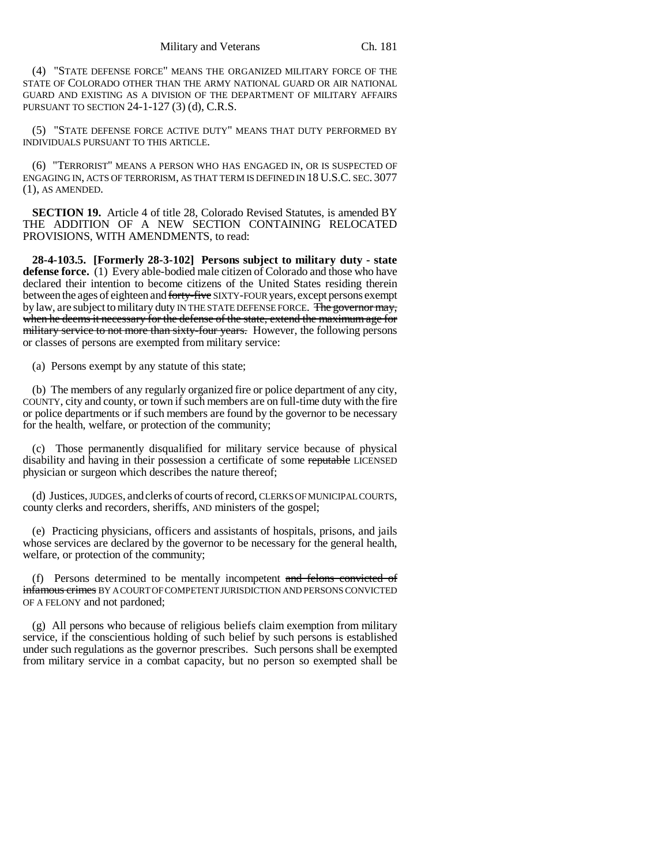(4) "STATE DEFENSE FORCE" MEANS THE ORGANIZED MILITARY FORCE OF THE STATE OF COLORADO OTHER THAN THE ARMY NATIONAL GUARD OR AIR NATIONAL GUARD AND EXISTING AS A DIVISION OF THE DEPARTMENT OF MILITARY AFFAIRS PURSUANT TO SECTION 24-1-127 (3) (d), C.R.S.

(5) "STATE DEFENSE FORCE ACTIVE DUTY" MEANS THAT DUTY PERFORMED BY INDIVIDUALS PURSUANT TO THIS ARTICLE.

(6) "TERRORIST" MEANS A PERSON WHO HAS ENGAGED IN, OR IS SUSPECTED OF ENGAGING IN, ACTS OF TERRORISM, AS THAT TERM IS DEFINED IN 18 U.S.C. SEC. 3077 (1), AS AMENDED.

**SECTION 19.** Article 4 of title 28, Colorado Revised Statutes, is amended BY THE ADDITION OF A NEW SECTION CONTAINING RELOCATED PROVISIONS, WITH AMENDMENTS, to read:

**28-4-103.5. [Formerly 28-3-102] Persons subject to military duty - state defense force.** (1) Every able-bodied male citizen of Colorado and those who have declared their intention to become citizens of the United States residing therein between the ages of eighteen and forty-five SIXTY-FOUR years, except persons exempt by law, are subject to military duty IN THE STATE DEFENSE FORCE. The governor may, when he deems it necessary for the defense of the state, extend the maximum age for military service to not more than sixty-four years. However, the following persons or classes of persons are exempted from military service:

(a) Persons exempt by any statute of this state;

(b) The members of any regularly organized fire or police department of any city, COUNTY, city and county, or town if such members are on full-time duty with the fire or police departments or if such members are found by the governor to be necessary for the health, welfare, or protection of the community;

(c) Those permanently disqualified for military service because of physical disability and having in their possession a certificate of some reputable LICENSED physician or surgeon which describes the nature thereof;

(d) Justices, JUDGES, and clerks of courts of record, CLERKS OF MUNICIPAL COURTS, county clerks and recorders, sheriffs, AND ministers of the gospel;

(e) Practicing physicians, officers and assistants of hospitals, prisons, and jails whose services are declared by the governor to be necessary for the general health, welfare, or protection of the community;

(f) Persons determined to be mentally incompetent and felons convicted of infamous crimes BY A COURT OF COMPETENT JURISDICTION AND PERSONS CONVICTED OF A FELONY and not pardoned;

(g) All persons who because of religious beliefs claim exemption from military service, if the conscientious holding of such belief by such persons is established under such regulations as the governor prescribes. Such persons shall be exempted from military service in a combat capacity, but no person so exempted shall be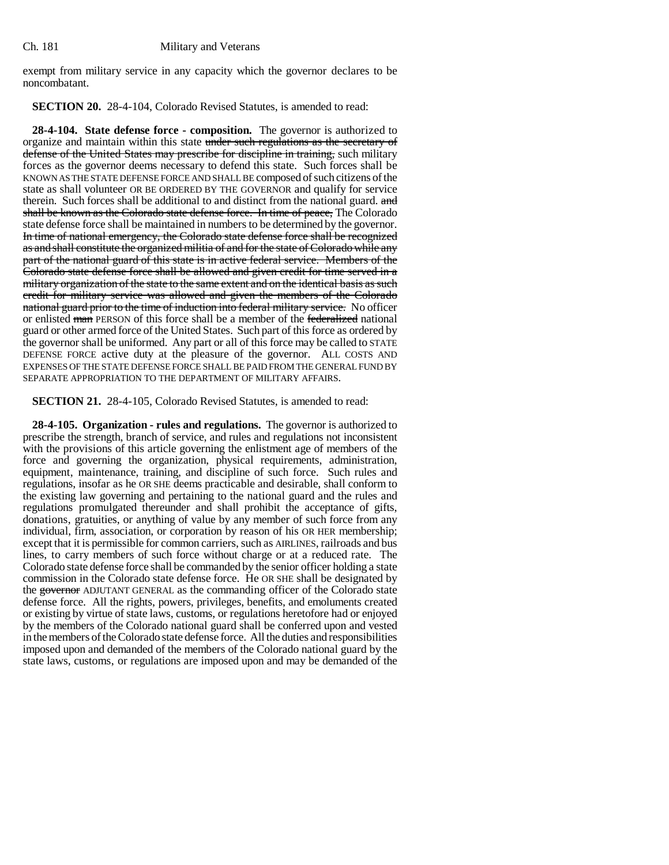exempt from military service in any capacity which the governor declares to be noncombatant.

**SECTION 20.** 28-4-104, Colorado Revised Statutes, is amended to read:

**28-4-104. State defense force - composition.** The governor is authorized to organize and maintain within this state under such regulations as the secretary of defense of the United States may prescribe for discipline in training, such military forces as the governor deems necessary to defend this state. Such forces shall be KNOWN AS THE STATE DEFENSE FORCE AND SHALL BE composed of such citizens of the state as shall volunteer OR BE ORDERED BY THE GOVERNOR and qualify for service therein. Such forces shall be additional to and distinct from the national guard. and shall be known as the Colorado state defense force. In time of peace, The Colorado state defense force shall be maintained in numbers to be determined by the governor. In time of national emergency, the Colorado state defense force shall be recognized as and shall constitute the organized militia of and for the state of Colorado while any part of the national guard of this state is in active federal service. Members of the Colorado state defense force shall be allowed and given credit for time served in a military organization of the state to the same extent and on the identical basis as such credit for military service was allowed and given the members of the Colorado national guard prior to the time of induction into federal military service. No officer or enlisted man PERSON of this force shall be a member of the federalized national guard or other armed force of the United States. Such part of this force as ordered by the governor shall be uniformed. Any part or all of this force may be called to STATE DEFENSE FORCE active duty at the pleasure of the governor. ALL COSTS AND EXPENSES OF THE STATE DEFENSE FORCE SHALL BE PAID FROM THE GENERAL FUND BY SEPARATE APPROPRIATION TO THE DEPARTMENT OF MILITARY AFFAIRS.

**SECTION 21.** 28-4-105, Colorado Revised Statutes, is amended to read:

**28-4-105. Organization - rules and regulations.** The governor is authorized to prescribe the strength, branch of service, and rules and regulations not inconsistent with the provisions of this article governing the enlistment age of members of the force and governing the organization, physical requirements, administration, equipment, maintenance, training, and discipline of such force. Such rules and regulations, insofar as he OR SHE deems practicable and desirable, shall conform to the existing law governing and pertaining to the national guard and the rules and regulations promulgated thereunder and shall prohibit the acceptance of gifts, donations, gratuities, or anything of value by any member of such force from any individual, firm, association, or corporation by reason of his OR HER membership; except that it is permissible for common carriers, such as AIRLINES, railroads and bus lines, to carry members of such force without charge or at a reduced rate. The Colorado state defense force shall be commanded by the senior officer holding a state commission in the Colorado state defense force. He OR SHE shall be designated by the governor ADJUTANT GENERAL as the commanding officer of the Colorado state defense force. All the rights, powers, privileges, benefits, and emoluments created or existing by virtue of state laws, customs, or regulations heretofore had or enjoyed by the members of the Colorado national guard shall be conferred upon and vested in the members of the Colorado state defense force. All the duties and responsibilities imposed upon and demanded of the members of the Colorado national guard by the state laws, customs, or regulations are imposed upon and may be demanded of the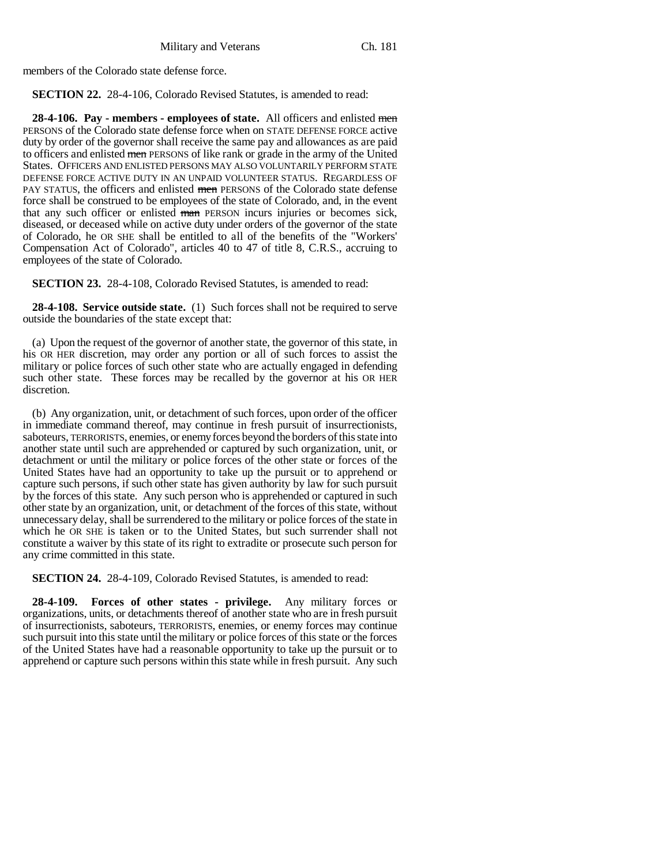members of the Colorado state defense force.

**SECTION 22.** 28-4-106, Colorado Revised Statutes, is amended to read:

**28-4-106. Pay - members - employees of state.** All officers and enlisted men PERSONS of the Colorado state defense force when on STATE DEFENSE FORCE active duty by order of the governor shall receive the same pay and allowances as are paid to officers and enlisted men PERSONS of like rank or grade in the army of the United States. OFFICERS AND ENLISTED PERSONS MAY ALSO VOLUNTARILY PERFORM STATE DEFENSE FORCE ACTIVE DUTY IN AN UNPAID VOLUNTEER STATUS. REGARDLESS OF PAY STATUS, the officers and enlisted men PERSONS of the Colorado state defense force shall be construed to be employees of the state of Colorado, and, in the event that any such officer or enlisted man PERSON incurs injuries or becomes sick, diseased, or deceased while on active duty under orders of the governor of the state of Colorado, he OR SHE shall be entitled to all of the benefits of the "Workers' Compensation Act of Colorado", articles 40 to 47 of title 8, C.R.S., accruing to employees of the state of Colorado.

**SECTION 23.** 28-4-108, Colorado Revised Statutes, is amended to read:

**28-4-108. Service outside state.** (1) Such forces shall not be required to serve outside the boundaries of the state except that:

(a) Upon the request of the governor of another state, the governor of this state, in his OR HER discretion, may order any portion or all of such forces to assist the military or police forces of such other state who are actually engaged in defending such other state. These forces may be recalled by the governor at his OR HER discretion.

(b) Any organization, unit, or detachment of such forces, upon order of the officer in immediate command thereof, may continue in fresh pursuit of insurrectionists, saboteurs, TERRORISTS, enemies, or enemy forces beyond the borders of this state into another state until such are apprehended or captured by such organization, unit, or detachment or until the military or police forces of the other state or forces of the United States have had an opportunity to take up the pursuit or to apprehend or capture such persons, if such other state has given authority by law for such pursuit by the forces of this state. Any such person who is apprehended or captured in such other state by an organization, unit, or detachment of the forces of this state, without unnecessary delay, shall be surrendered to the military or police forces of the state in which he OR SHE is taken or to the United States, but such surrender shall not constitute a waiver by this state of its right to extradite or prosecute such person for any crime committed in this state.

**SECTION 24.** 28-4-109, Colorado Revised Statutes, is amended to read:

**28-4-109. Forces of other states - privilege.** Any military forces or organizations, units, or detachments thereof of another state who are in fresh pursuit of insurrectionists, saboteurs, TERRORISTS, enemies, or enemy forces may continue such pursuit into this state until the military or police forces of this state or the forces of the United States have had a reasonable opportunity to take up the pursuit or to apprehend or capture such persons within this state while in fresh pursuit. Any such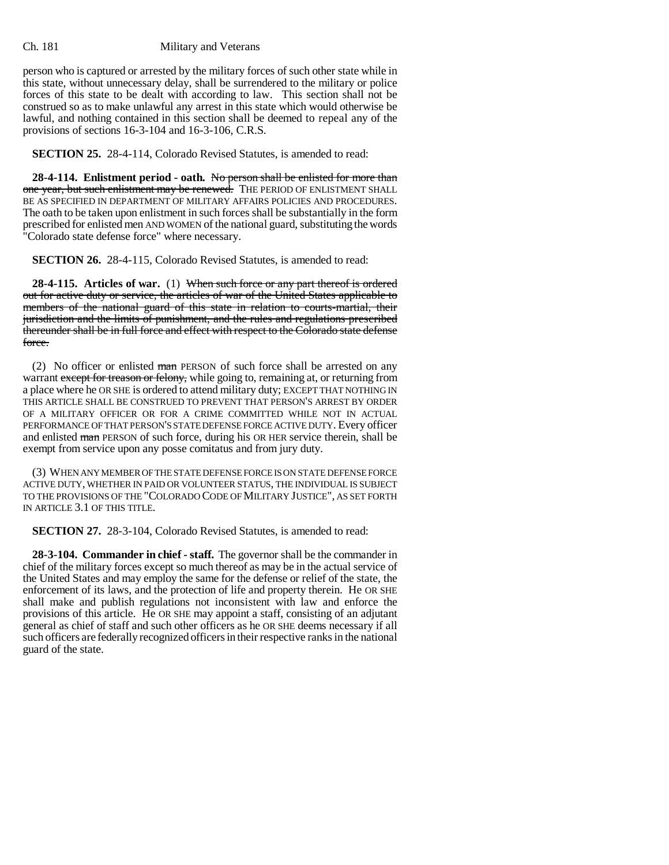person who is captured or arrested by the military forces of such other state while in this state, without unnecessary delay, shall be surrendered to the military or police forces of this state to be dealt with according to law. This section shall not be construed so as to make unlawful any arrest in this state which would otherwise be lawful, and nothing contained in this section shall be deemed to repeal any of the provisions of sections 16-3-104 and 16-3-106, C.R.S.

**SECTION 25.** 28-4-114, Colorado Revised Statutes, is amended to read:

**28-4-114. Enlistment period - oath.** No person shall be enlisted for more than one year, but such enlistment may be renewed. THE PERIOD OF ENLISTMENT SHALL BE AS SPECIFIED IN DEPARTMENT OF MILITARY AFFAIRS POLICIES AND PROCEDURES. The oath to be taken upon enlistment in such forces shall be substantially in the form prescribed for enlisted men AND WOMEN of the national guard, substituting the words "Colorado state defense force" where necessary.

**SECTION 26.** 28-4-115, Colorado Revised Statutes, is amended to read:

**28-4-115. Articles of war.** (1) When such force or any part thereof is ordered out for active duty or service, the articles of war of the United States applicable to members of the national guard of this state in relation to courts-martial, their jurisdiction and the limits of punishment, and the rules and regulations prescribed thereunder shall be in full force and effect with respect to the Colorado state defense force.

(2) No officer or enlisted man PERSON of such force shall be arrested on any warrant except for treason or felony, while going to, remaining at, or returning from a place where he OR SHE is ordered to attend military duty; EXCEPT THAT NOTHING IN THIS ARTICLE SHALL BE CONSTRUED TO PREVENT THAT PERSON'S ARREST BY ORDER OF A MILITARY OFFICER OR FOR A CRIME COMMITTED WHILE NOT IN ACTUAL PERFORMANCE OF THAT PERSON'S STATE DEFENSE FORCE ACTIVE DUTY. Every officer and enlisted man PERSON of such force, during his OR HER service therein, shall be exempt from service upon any posse comitatus and from jury duty.

(3) WHEN ANY MEMBER OF THE STATE DEFENSE FORCE IS ON STATE DEFENSE FORCE ACTIVE DUTY, WHETHER IN PAID OR VOLUNTEER STATUS, THE INDIVIDUAL IS SUBJECT TO THE PROVISIONS OF THE "COLORADO CODE OF MILITARY JUSTICE", AS SET FORTH IN ARTICLE 3.1 OF THIS TITLE.

**SECTION 27.** 28-3-104, Colorado Revised Statutes, is amended to read:

**28-3-104. Commander in chief - staff.** The governor shall be the commander in chief of the military forces except so much thereof as may be in the actual service of the United States and may employ the same for the defense or relief of the state, the enforcement of its laws, and the protection of life and property therein. He OR SHE shall make and publish regulations not inconsistent with law and enforce the provisions of this article. He OR SHE may appoint a staff, consisting of an adjutant general as chief of staff and such other officers as he OR SHE deems necessary if all such officers are federally recognized officers in their respective ranks in the national guard of the state.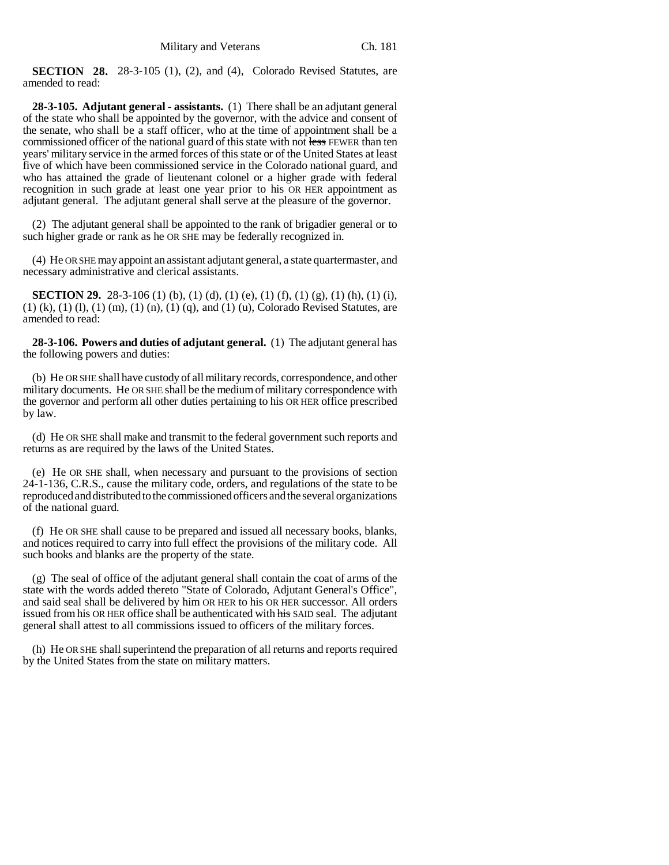**SECTION 28.** 28-3-105 (1), (2), and (4), Colorado Revised Statutes, are amended to read:

**28-3-105. Adjutant general - assistants.** (1) There shall be an adjutant general of the state who shall be appointed by the governor, with the advice and consent of the senate, who shall be a staff officer, who at the time of appointment shall be a commissioned officer of the national guard of this state with not less FEWER than ten years' military service in the armed forces of this state or of the United States at least five of which have been commissioned service in the Colorado national guard, and who has attained the grade of lieutenant colonel or a higher grade with federal recognition in such grade at least one year prior to his OR HER appointment as adjutant general. The adjutant general shall serve at the pleasure of the governor.

(2) The adjutant general shall be appointed to the rank of brigadier general or to such higher grade or rank as he OR SHE may be federally recognized in.

(4) He OR SHE may appoint an assistant adjutant general, a state quartermaster, and necessary administrative and clerical assistants.

**SECTION 29.** 28-3-106 (1) (b), (1) (d), (1) (e), (1) (f), (1) (g), (1) (h), (1) (i),  $(1)$  (k),  $(1)$  (l),  $(1)$  (m),  $(1)$  (n),  $(1)$  (q), and  $(1)$  (u), Colorado Revised Statutes, are amended to read:

**28-3-106. Powers and duties of adjutant general.** (1) The adjutant general has the following powers and duties:

(b) He OR SHE shall have custody of all military records, correspondence, and other military documents. He OR SHE shall be the medium of military correspondence with the governor and perform all other duties pertaining to his OR HER office prescribed by law.

(d) He OR SHE shall make and transmit to the federal government such reports and returns as are required by the laws of the United States.

(e) He OR SHE shall, when necessary and pursuant to the provisions of section 24-1-136, C.R.S., cause the military code, orders, and regulations of the state to be reproduced and distributed to the commissioned officers and the several organizations of the national guard.

(f) He OR SHE shall cause to be prepared and issued all necessary books, blanks, and notices required to carry into full effect the provisions of the military code. All such books and blanks are the property of the state.

(g) The seal of office of the adjutant general shall contain the coat of arms of the state with the words added thereto "State of Colorado, Adjutant General's Office", and said seal shall be delivered by him OR HER to his OR HER successor. All orders issued from his OR HER office shall be authenticated with his SAID seal. The adjutant general shall attest to all commissions issued to officers of the military forces.

(h) He OR SHE shall superintend the preparation of all returns and reports required by the United States from the state on military matters.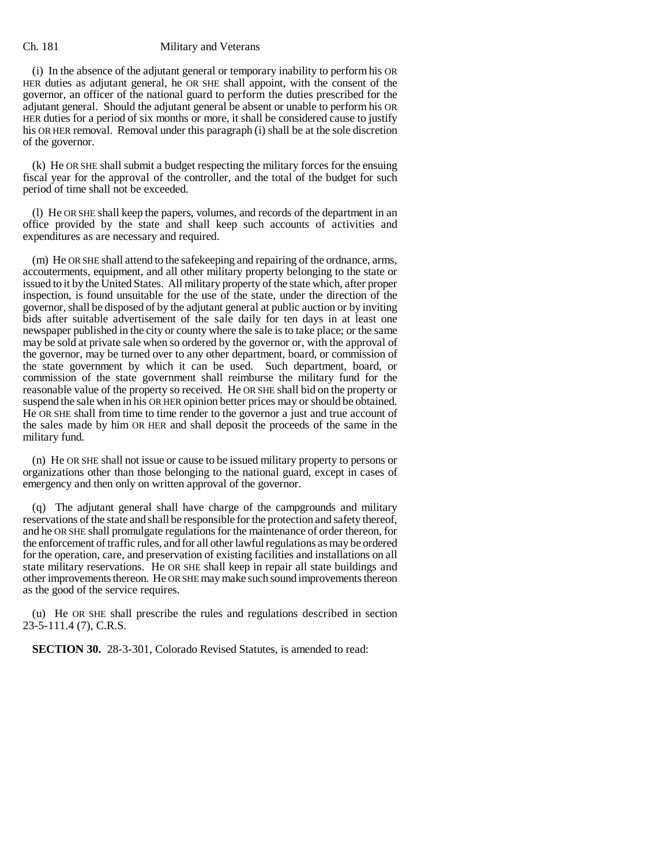(i) In the absence of the adjutant general or temporary inability to perform his OR HER duties as adjutant general, he OR SHE shall appoint, with the consent of the governor, an officer of the national guard to perform the duties prescribed for the adjutant general. Should the adjutant general be absent or unable to perform his OR HER duties for a period of six months or more, it shall be considered cause to justify his OR HER removal. Removal under this paragraph (i) shall be at the sole discretion of the governor.

(k) He OR SHE shall submit a budget respecting the military forces for the ensuing fiscal year for the approval of the controller, and the total of the budget for such period of time shall not be exceeded.

(l) He OR SHE shall keep the papers, volumes, and records of the department in an office provided by the state and shall keep such accounts of activities and expenditures as are necessary and required.

(m) He OR SHE shall attend to the safekeeping and repairing of the ordnance, arms, accouterments, equipment, and all other military property belonging to the state or issued to it by the United States. All military property of the state which, after proper inspection, is found unsuitable for the use of the state, under the direction of the governor, shall be disposed of by the adjutant general at public auction or by inviting bids after suitable advertisement of the sale daily for ten days in at least one newspaper published in the city or county where the sale is to take place; or the same may be sold at private sale when so ordered by the governor or, with the approval of the governor, may be turned over to any other department, board, or commission of the state government by which it can be used. Such department, board, or commission of the state government shall reimburse the military fund for the reasonable value of the property so received. He OR SHE shall bid on the property or suspend the sale when in his OR HER opinion better prices may or should be obtained. He OR SHE shall from time to time render to the governor a just and true account of the sales made by him OR HER and shall deposit the proceeds of the same in the military fund.

(n) He OR SHE shall not issue or cause to be issued military property to persons or organizations other than those belonging to the national guard, except in cases of emergency and then only on written approval of the governor.

(q) The adjutant general shall have charge of the campgrounds and military reservations of the state and shall be responsible for the protection and safety thereof, and he OR SHE shall promulgate regulations for the maintenance of order thereon, for the enforcement of traffic rules, and for all other lawful regulations as may be ordered for the operation, care, and preservation of existing facilities and installations on all state military reservations. He OR SHE shall keep in repair all state buildings and other improvements thereon. He OR SHE may make such sound improvements thereon as the good of the service requires.

(u) He OR SHE shall prescribe the rules and regulations described in section 23-5-111.4 (7), C.R.S.

**SECTION 30.** 28-3-301, Colorado Revised Statutes, is amended to read: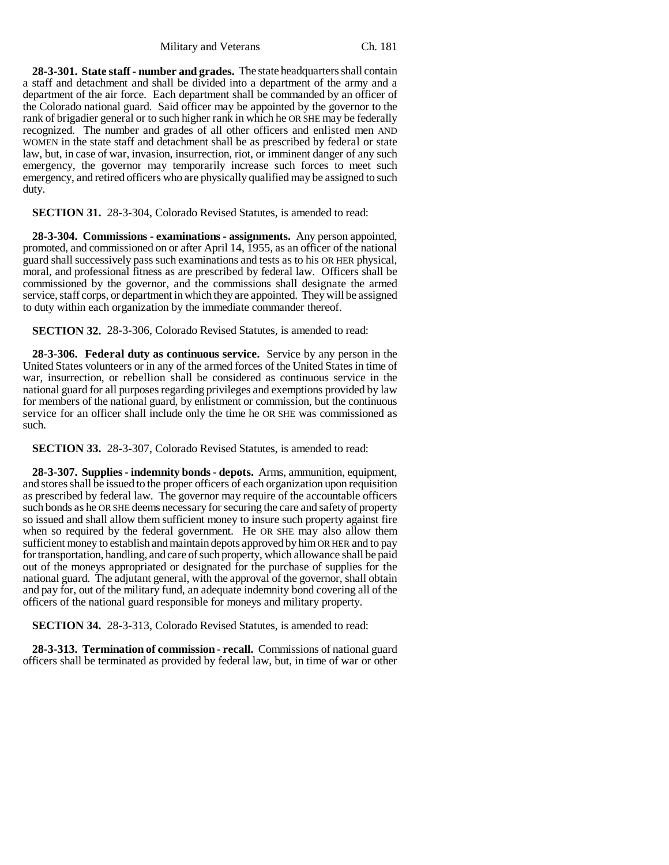**28-3-301. State staff - number and grades.** The state headquarters shall contain a staff and detachment and shall be divided into a department of the army and a department of the air force. Each department shall be commanded by an officer of the Colorado national guard. Said officer may be appointed by the governor to the rank of brigadier general or to such higher rank in which he OR SHE may be federally recognized. The number and grades of all other officers and enlisted men AND WOMEN in the state staff and detachment shall be as prescribed by federal or state law, but, in case of war, invasion, insurrection, riot, or imminent danger of any such emergency, the governor may temporarily increase such forces to meet such emergency, and retired officers who are physically qualified may be assigned to such duty.

**SECTION 31.** 28-3-304, Colorado Revised Statutes, is amended to read:

**28-3-304. Commissions - examinations - assignments.** Any person appointed, promoted, and commissioned on or after April 14, 1955, as an officer of the national guard shall successively pass such examinations and tests as to his OR HER physical, moral, and professional fitness as are prescribed by federal law. Officers shall be commissioned by the governor, and the commissions shall designate the armed service, staff corps, or department in which they are appointed. They will be assigned to duty within each organization by the immediate commander thereof.

**SECTION 32.** 28-3-306, Colorado Revised Statutes, is amended to read:

**28-3-306. Federal duty as continuous service.** Service by any person in the United States volunteers or in any of the armed forces of the United States in time of war, insurrection, or rebellion shall be considered as continuous service in the national guard for all purposes regarding privileges and exemptions provided by law for members of the national guard, by enlistment or commission, but the continuous service for an officer shall include only the time he OR SHE was commissioned as such.

**SECTION 33.** 28-3-307, Colorado Revised Statutes, is amended to read:

**28-3-307. Supplies - indemnity bonds - depots.** Arms, ammunition, equipment, and stores shall be issued to the proper officers of each organization upon requisition as prescribed by federal law. The governor may require of the accountable officers such bonds as he OR SHE deems necessary for securing the care and safety of property so issued and shall allow them sufficient money to insure such property against fire when so required by the federal government. He OR SHE may also allow them sufficient money to establish and maintain depots approved by him OR HER and to pay for transportation, handling, and care of such property, which allowance shall be paid out of the moneys appropriated or designated for the purchase of supplies for the national guard. The adjutant general, with the approval of the governor, shall obtain and pay for, out of the military fund, an adequate indemnity bond covering all of the officers of the national guard responsible for moneys and military property.

**SECTION 34.** 28-3-313, Colorado Revised Statutes, is amended to read:

**28-3-313. Termination of commission - recall.** Commissions of national guard officers shall be terminated as provided by federal law, but, in time of war or other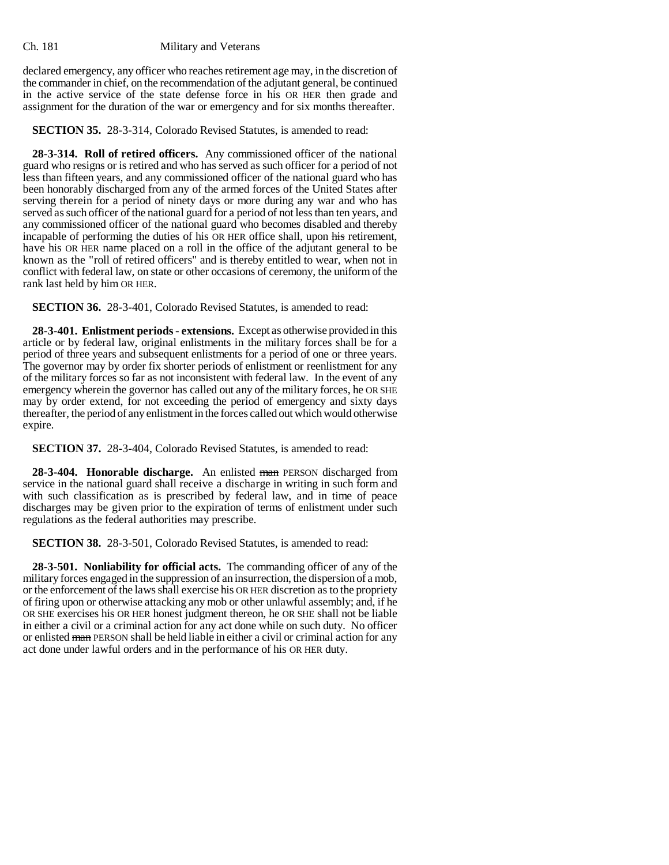declared emergency, any officer who reaches retirement age may, in the discretion of the commander in chief, on the recommendation of the adjutant general, be continued in the active service of the state defense force in his OR HER then grade and assignment for the duration of the war or emergency and for six months thereafter.

**SECTION 35.** 28-3-314, Colorado Revised Statutes, is amended to read:

**28-3-314. Roll of retired officers.** Any commissioned officer of the national guard who resigns or is retired and who has served as such officer for a period of not less than fifteen years, and any commissioned officer of the national guard who has been honorably discharged from any of the armed forces of the United States after serving therein for a period of ninety days or more during any war and who has served as such officer of the national guard for a period of not less than ten years, and any commissioned officer of the national guard who becomes disabled and thereby incapable of performing the duties of his OR HER office shall, upon his retirement, have his OR HER name placed on a roll in the office of the adjutant general to be known as the "roll of retired officers" and is thereby entitled to wear, when not in conflict with federal law, on state or other occasions of ceremony, the uniform of the rank last held by him OR HER.

**SECTION 36.** 28-3-401, Colorado Revised Statutes, is amended to read:

**28-3-401. Enlistment periods - extensions.** Except as otherwise provided in this article or by federal law, original enlistments in the military forces shall be for a period of three years and subsequent enlistments for a period of one or three years. The governor may by order fix shorter periods of enlistment or reenlistment for any of the military forces so far as not inconsistent with federal law. In the event of any emergency wherein the governor has called out any of the military forces, he OR SHE may by order extend, for not exceeding the period of emergency and sixty days thereafter, the period of any enlistment in the forces called out which would otherwise expire.

**SECTION 37.** 28-3-404, Colorado Revised Statutes, is amended to read:

**28-3-404. Honorable discharge.** An enlisted man PERSON discharged from service in the national guard shall receive a discharge in writing in such form and with such classification as is prescribed by federal law, and in time of peace discharges may be given prior to the expiration of terms of enlistment under such regulations as the federal authorities may prescribe.

**SECTION 38.** 28-3-501, Colorado Revised Statutes, is amended to read:

**28-3-501. Nonliability for official acts.** The commanding officer of any of the military forces engaged in the suppression of an insurrection, the dispersion of a mob, or the enforcement of the laws shall exercise his OR HER discretion as to the propriety of firing upon or otherwise attacking any mob or other unlawful assembly; and, if he OR SHE exercises his OR HER honest judgment thereon, he OR SHE shall not be liable in either a civil or a criminal action for any act done while on such duty. No officer or enlisted man PERSON shall be held liable in either a civil or criminal action for any act done under lawful orders and in the performance of his OR HER duty.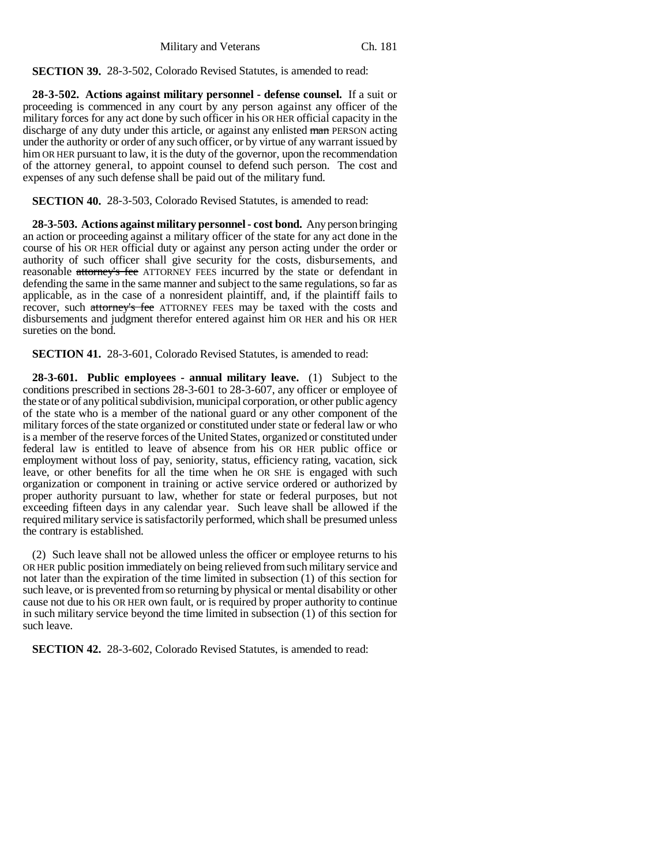**SECTION 39.** 28-3-502, Colorado Revised Statutes, is amended to read:

**28-3-502. Actions against military personnel - defense counsel.** If a suit or proceeding is commenced in any court by any person against any officer of the military forces for any act done by such officer in his OR HER official capacity in the discharge of any duty under this article, or against any enlisted man PERSON acting under the authority or order of any such officer, or by virtue of any warrant issued by him OR HER pursuant to law, it is the duty of the governor, upon the recommendation of the attorney general, to appoint counsel to defend such person. The cost and expenses of any such defense shall be paid out of the military fund.

**SECTION 40.** 28-3-503, Colorado Revised Statutes, is amended to read:

**28-3-503. Actions against military personnel - cost bond.** Any person bringing an action or proceeding against a military officer of the state for any act done in the course of his OR HER official duty or against any person acting under the order or authority of such officer shall give security for the costs, disbursements, and reasonable attorney's fee ATTORNEY FEES incurred by the state or defendant in defending the same in the same manner and subject to the same regulations, so far as applicable, as in the case of a nonresident plaintiff, and, if the plaintiff fails to recover, such attorney's fee ATTORNEY FEES may be taxed with the costs and disbursements and judgment therefor entered against him OR HER and his OR HER sureties on the bond.

**SECTION 41.** 28-3-601, Colorado Revised Statutes, is amended to read:

**28-3-601. Public employees - annual military leave.** (1) Subject to the conditions prescribed in sections 28-3-601 to 28-3-607, any officer or employee of the state or of any political subdivision, municipal corporation, or other public agency of the state who is a member of the national guard or any other component of the military forces of the state organized or constituted under state or federal law or who is a member of the reserve forces of the United States, organized or constituted under federal law is entitled to leave of absence from his OR HER public office or employment without loss of pay, seniority, status, efficiency rating, vacation, sick leave, or other benefits for all the time when he OR SHE is engaged with such organization or component in training or active service ordered or authorized by proper authority pursuant to law, whether for state or federal purposes, but not exceeding fifteen days in any calendar year. Such leave shall be allowed if the required military service is satisfactorily performed, which shall be presumed unless the contrary is established.

(2) Such leave shall not be allowed unless the officer or employee returns to his OR HER public position immediately on being relieved from such military service and not later than the expiration of the time limited in subsection (1) of this section for such leave, or is prevented from so returning by physical or mental disability or other cause not due to his OR HER own fault, or is required by proper authority to continue in such military service beyond the time limited in subsection (1) of this section for such leave.

**SECTION 42.** 28-3-602, Colorado Revised Statutes, is amended to read: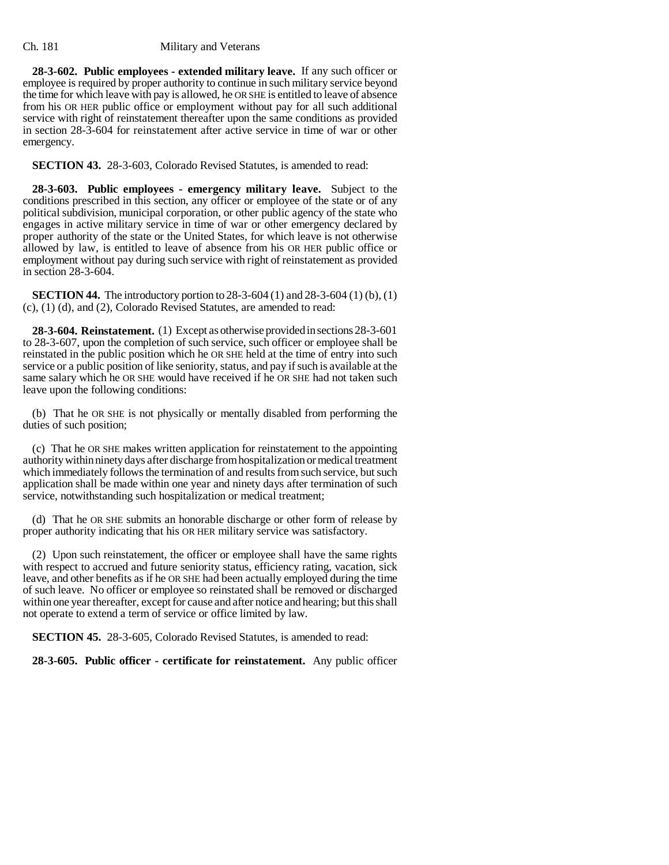**28-3-602. Public employees - extended military leave.** If any such officer or employee is required by proper authority to continue in such military service beyond the time for which leave with pay is allowed, he OR SHE is entitled to leave of absence from his OR HER public office or employment without pay for all such additional service with right of reinstatement thereafter upon the same conditions as provided in section 28-3-604 for reinstatement after active service in time of war or other emergency.

**SECTION 43.** 28-3-603, Colorado Revised Statutes, is amended to read:

**28-3-603. Public employees - emergency military leave.** Subject to the conditions prescribed in this section, any officer or employee of the state or of any political subdivision, municipal corporation, or other public agency of the state who engages in active military service in time of war or other emergency declared by proper authority of the state or the United States, for which leave is not otherwise allowed by law, is entitled to leave of absence from his OR HER public office or employment without pay during such service with right of reinstatement as provided in section 28-3-604.

**SECTION 44.** The introductory portion to 28-3-604 (1) and 28-3-604 (1) (b), (1) (c), (1) (d), and (2), Colorado Revised Statutes, are amended to read:

**28-3-604. Reinstatement.** (1) Except as otherwise provided in sections 28-3-601 to 28-3-607, upon the completion of such service, such officer or employee shall be reinstated in the public position which he OR SHE held at the time of entry into such service or a public position of like seniority, status, and pay if such is available at the same salary which he OR SHE would have received if he OR SHE had not taken such leave upon the following conditions:

(b) That he OR SHE is not physically or mentally disabled from performing the duties of such position;

(c) That he OR SHE makes written application for reinstatement to the appointing authority within ninety days after discharge from hospitalization or medical treatment which immediately follows the termination of and results from such service, but such application shall be made within one year and ninety days after termination of such service, notwithstanding such hospitalization or medical treatment;

(d) That he OR SHE submits an honorable discharge or other form of release by proper authority indicating that his OR HER military service was satisfactory.

(2) Upon such reinstatement, the officer or employee shall have the same rights with respect to accrued and future seniority status, efficiency rating, vacation, sick leave, and other benefits as if he OR SHE had been actually employed during the time of such leave. No officer or employee so reinstated shall be removed or discharged within one year thereafter, except for cause and after notice and hearing; but this shall not operate to extend a term of service or office limited by law.

**SECTION 45.** 28-3-605, Colorado Revised Statutes, is amended to read:

**28-3-605. Public officer - certificate for reinstatement.** Any public officer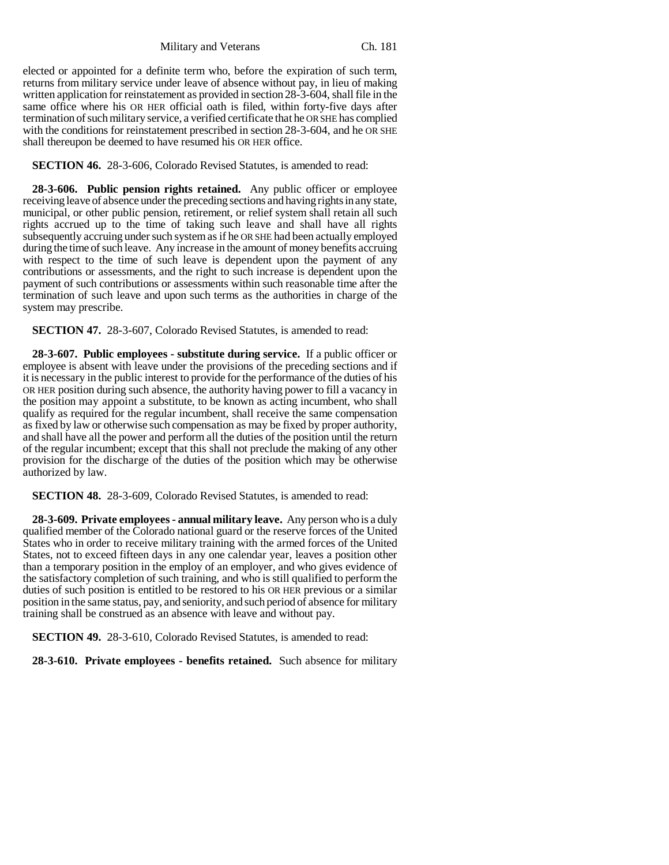elected or appointed for a definite term who, before the expiration of such term, returns from military service under leave of absence without pay, in lieu of making written application for reinstatement as provided in section 28-3-604, shall file in the same office where his OR HER official oath is filed, within forty-five days after termination of such military service, a verified certificate that he OR SHE has complied with the conditions for reinstatement prescribed in section 28-3-604, and he OR SHE shall thereupon be deemed to have resumed his OR HER office.

**SECTION 46.** 28-3-606, Colorado Revised Statutes, is amended to read:

**28-3-606. Public pension rights retained.** Any public officer or employee receiving leave of absence under the preceding sections and having rights in any state, municipal, or other public pension, retirement, or relief system shall retain all such rights accrued up to the time of taking such leave and shall have all rights subsequently accruing under such system as if he OR SHE had been actually employed during the time of such leave. Any increase in the amount of money benefits accruing with respect to the time of such leave is dependent upon the payment of any contributions or assessments, and the right to such increase is dependent upon the payment of such contributions or assessments within such reasonable time after the termination of such leave and upon such terms as the authorities in charge of the system may prescribe.

**SECTION 47.** 28-3-607, Colorado Revised Statutes, is amended to read:

**28-3-607. Public employees - substitute during service.** If a public officer or employee is absent with leave under the provisions of the preceding sections and if it is necessary in the public interest to provide for the performance of the duties of his OR HER position during such absence, the authority having power to fill a vacancy in the position may appoint a substitute, to be known as acting incumbent, who shall qualify as required for the regular incumbent, shall receive the same compensation as fixed by law or otherwise such compensation as may be fixed by proper authority, and shall have all the power and perform all the duties of the position until the return of the regular incumbent; except that this shall not preclude the making of any other provision for the discharge of the duties of the position which may be otherwise authorized by law.

**SECTION 48.** 28-3-609, Colorado Revised Statutes, is amended to read:

**28-3-609. Private employees - annual military leave.** Any person who is a duly qualified member of the Colorado national guard or the reserve forces of the United States who in order to receive military training with the armed forces of the United States, not to exceed fifteen days in any one calendar year, leaves a position other than a temporary position in the employ of an employer, and who gives evidence of the satisfactory completion of such training, and who is still qualified to perform the duties of such position is entitled to be restored to his OR HER previous or a similar position in the same status, pay, and seniority, and such period of absence for military training shall be construed as an absence with leave and without pay.

**SECTION 49.** 28-3-610, Colorado Revised Statutes, is amended to read:

**28-3-610. Private employees - benefits retained.** Such absence for military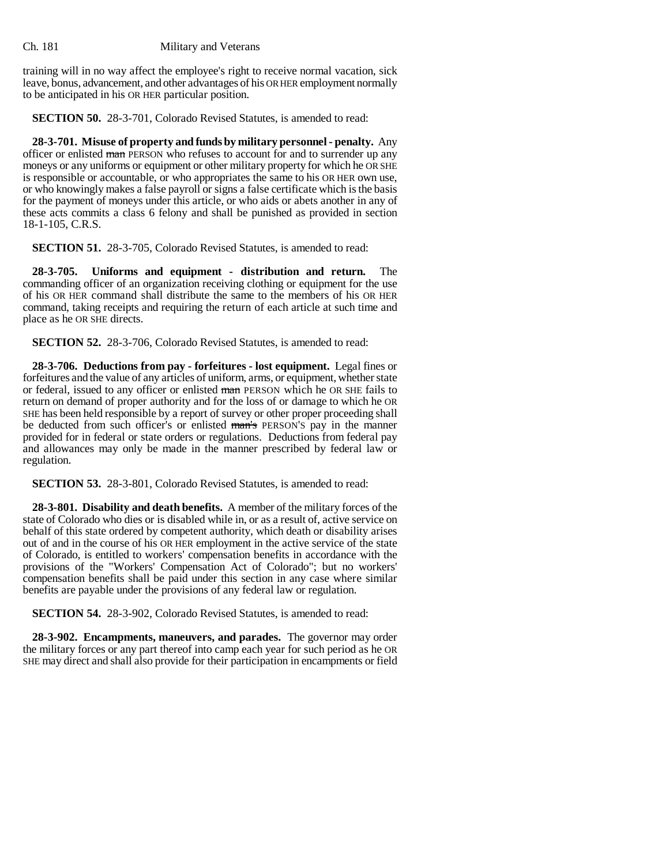training will in no way affect the employee's right to receive normal vacation, sick leave, bonus, advancement, and other advantages of his OR HER employment normally to be anticipated in his OR HER particular position.

**SECTION 50.** 28-3-701, Colorado Revised Statutes, is amended to read:

**28-3-701. Misuse of property and funds by military personnel - penalty.** Any officer or enlisted man PERSON who refuses to account for and to surrender up any moneys or any uniforms or equipment or other military property for which he OR SHE is responsible or accountable, or who appropriates the same to his OR HER own use, or who knowingly makes a false payroll or signs a false certificate which is the basis for the payment of moneys under this article, or who aids or abets another in any of these acts commits a class 6 felony and shall be punished as provided in section 18-1-105, C.R.S.

**SECTION 51.** 28-3-705, Colorado Revised Statutes, is amended to read:

**28-3-705. Uniforms and equipment - distribution and return.** The commanding officer of an organization receiving clothing or equipment for the use of his OR HER command shall distribute the same to the members of his OR HER command, taking receipts and requiring the return of each article at such time and place as he OR SHE directs.

**SECTION 52.** 28-3-706, Colorado Revised Statutes, is amended to read:

**28-3-706. Deductions from pay - forfeitures - lost equipment.** Legal fines or forfeitures and the value of any articles of uniform, arms, or equipment, whether state or federal, issued to any officer or enlisted man PERSON which he OR SHE fails to return on demand of proper authority and for the loss of or damage to which he OR SHE has been held responsible by a report of survey or other proper proceeding shall be deducted from such officer's or enlisted man's PERSON'S pay in the manner provided for in federal or state orders or regulations. Deductions from federal pay and allowances may only be made in the manner prescribed by federal law or regulation.

**SECTION 53.** 28-3-801, Colorado Revised Statutes, is amended to read:

**28-3-801. Disability and death benefits.** A member of the military forces of the state of Colorado who dies or is disabled while in, or as a result of, active service on behalf of this state ordered by competent authority, which death or disability arises out of and in the course of his OR HER employment in the active service of the state of Colorado, is entitled to workers' compensation benefits in accordance with the provisions of the "Workers' Compensation Act of Colorado"; but no workers' compensation benefits shall be paid under this section in any case where similar benefits are payable under the provisions of any federal law or regulation.

**SECTION 54.** 28-3-902, Colorado Revised Statutes, is amended to read:

**28-3-902. Encampments, maneuvers, and parades.** The governor may order the military forces or any part thereof into camp each year for such period as he OR SHE may direct and shall also provide for their participation in encampments or field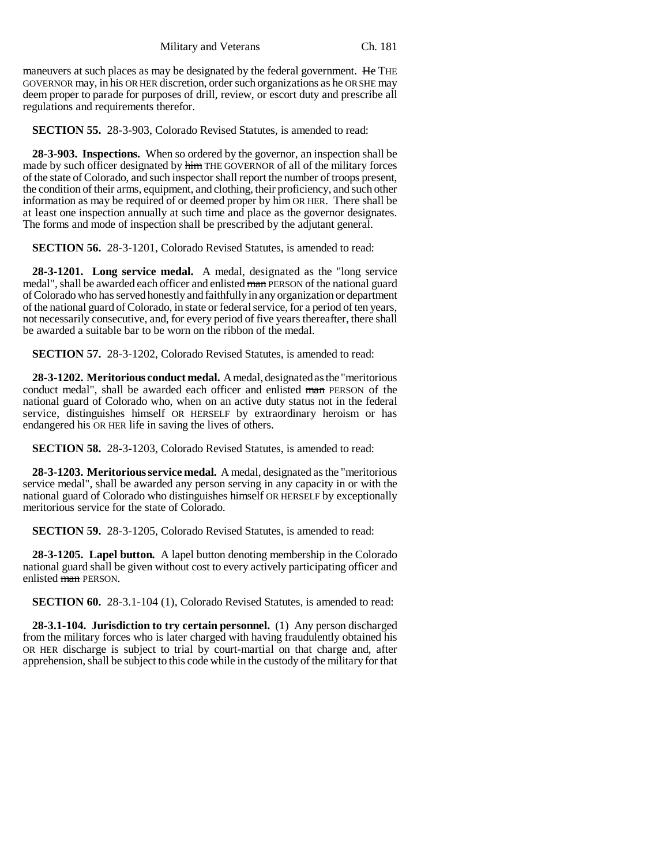maneuvers at such places as may be designated by the federal government. He THE GOVERNOR may, in his OR HER discretion, order such organizations as he OR SHE may deem proper to parade for purposes of drill, review, or escort duty and prescribe all regulations and requirements therefor.

**SECTION 55.** 28-3-903, Colorado Revised Statutes, is amended to read:

**28-3-903. Inspections.** When so ordered by the governor, an inspection shall be made by such officer designated by him THE GOVERNOR of all of the military forces of the state of Colorado, and such inspector shall report the number of troops present, the condition of their arms, equipment, and clothing, their proficiency, and such other information as may be required of or deemed proper by him OR HER. There shall be at least one inspection annually at such time and place as the governor designates. The forms and mode of inspection shall be prescribed by the adjutant general.

**SECTION 56.** 28-3-1201, Colorado Revised Statutes, is amended to read:

**28-3-1201. Long service medal.** A medal, designated as the "long service medal", shall be awarded each officer and enlisted man PERSON of the national guard of Colorado who has served honestly and faithfully in any organization or department of the national guard of Colorado, in state or federal service, for a period of ten years, not necessarily consecutive, and, for every period of five years thereafter, there shall be awarded a suitable bar to be worn on the ribbon of the medal.

**SECTION 57.** 28-3-1202, Colorado Revised Statutes, is amended to read:

**28-3-1202. Meritorious conduct medal.** A medal, designated as the "meritorious conduct medal", shall be awarded each officer and enlisted man PERSON of the national guard of Colorado who, when on an active duty status not in the federal service, distinguishes himself OR HERSELF by extraordinary heroism or has endangered his OR HER life in saving the lives of others.

**SECTION 58.** 28-3-1203, Colorado Revised Statutes, is amended to read:

**28-3-1203. Meritorious service medal.** A medal, designated as the "meritorious service medal", shall be awarded any person serving in any capacity in or with the national guard of Colorado who distinguishes himself OR HERSELF by exceptionally meritorious service for the state of Colorado.

**SECTION 59.** 28-3-1205, Colorado Revised Statutes, is amended to read:

**28-3-1205. Lapel button.** A lapel button denoting membership in the Colorado national guard shall be given without cost to every actively participating officer and enlisted man PERSON.

**SECTION 60.** 28-3.1-104 (1), Colorado Revised Statutes, is amended to read:

**28-3.1-104. Jurisdiction to try certain personnel.** (1) Any person discharged from the military forces who is later charged with having fraudulently obtained his OR HER discharge is subject to trial by court-martial on that charge and, after apprehension, shall be subject to this code while in the custody of the military for that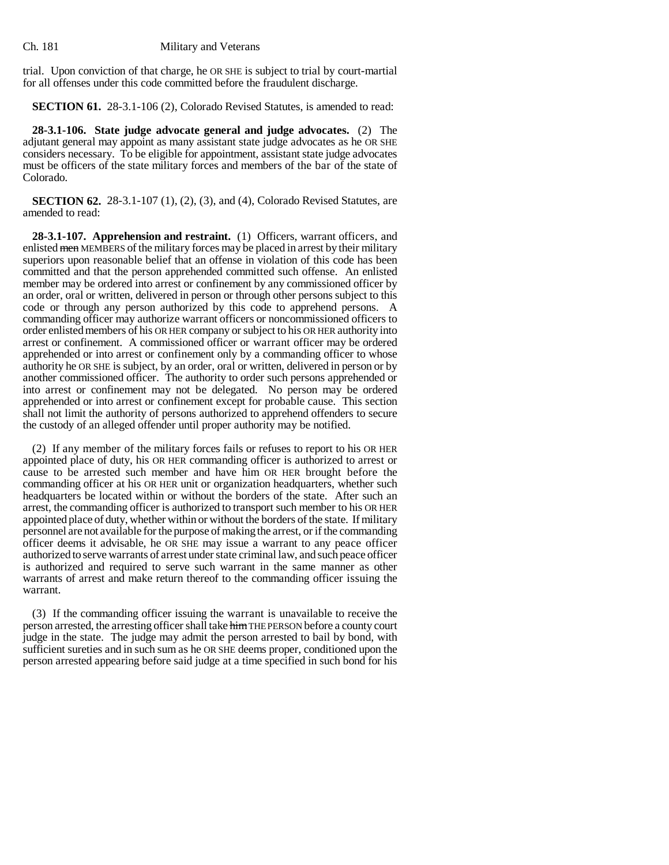trial. Upon conviction of that charge, he OR SHE is subject to trial by court-martial for all offenses under this code committed before the fraudulent discharge.

**SECTION 61.** 28-3.1-106 (2), Colorado Revised Statutes, is amended to read:

**28-3.1-106. State judge advocate general and judge advocates.** (2) The adjutant general may appoint as many assistant state judge advocates as he OR SHE considers necessary. To be eligible for appointment, assistant state judge advocates must be officers of the state military forces and members of the bar of the state of Colorado.

**SECTION 62.** 28-3.1-107 (1), (2), (3), and (4), Colorado Revised Statutes, are amended to read:

**28-3.1-107. Apprehension and restraint.** (1) Officers, warrant officers, and enlisted men MEMBERS of the military forces may be placed in arrest by their military superiors upon reasonable belief that an offense in violation of this code has been committed and that the person apprehended committed such offense. An enlisted member may be ordered into arrest or confinement by any commissioned officer by an order, oral or written, delivered in person or through other persons subject to this code or through any person authorized by this code to apprehend persons. A commanding officer may authorize warrant officers or noncommissioned officers to order enlisted members of his OR HER company or subject to his OR HER authority into arrest or confinement. A commissioned officer or warrant officer may be ordered apprehended or into arrest or confinement only by a commanding officer to whose authority he OR SHE is subject, by an order, oral or written, delivered in person or by another commissioned officer. The authority to order such persons apprehended or into arrest or confinement may not be delegated. No person may be ordered apprehended or into arrest or confinement except for probable cause. This section shall not limit the authority of persons authorized to apprehend offenders to secure the custody of an alleged offender until proper authority may be notified.

(2) If any member of the military forces fails or refuses to report to his OR HER appointed place of duty, his OR HER commanding officer is authorized to arrest or cause to be arrested such member and have him OR HER brought before the commanding officer at his OR HER unit or organization headquarters, whether such headquarters be located within or without the borders of the state. After such an arrest, the commanding officer is authorized to transport such member to his OR HER appointed place of duty, whether within or without the borders of the state. If military personnel are not available for the purpose of making the arrest, or if the commanding officer deems it advisable, he OR SHE may issue a warrant to any peace officer authorized to serve warrants of arrest under state criminal law, and such peace officer is authorized and required to serve such warrant in the same manner as other warrants of arrest and make return thereof to the commanding officer issuing the warrant.

(3) If the commanding officer issuing the warrant is unavailable to receive the person arrested, the arresting officer shall take him THE PERSON before a county court judge in the state. The judge may admit the person arrested to bail by bond, with sufficient sureties and in such sum as he OR SHE deems proper, conditioned upon the person arrested appearing before said judge at a time specified in such bond for his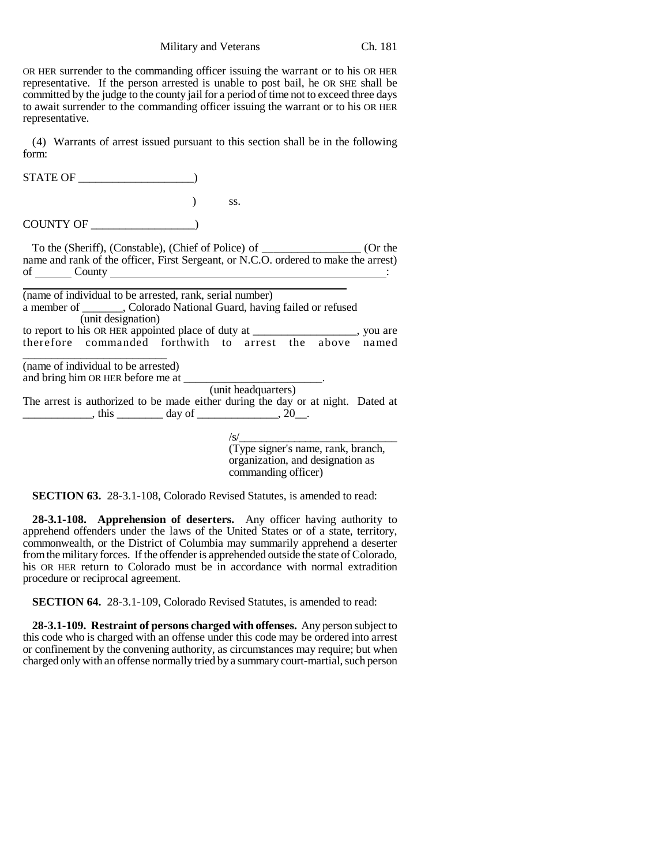OR HER surrender to the commanding officer issuing the warrant or to his OR HER representative. If the person arrested is unable to post bail, he OR SHE shall be committed by the judge to the county jail for a period of time not to exceed three days to await surrender to the commanding officer issuing the warrant or to his OR HER representative.

(4) Warrants of arrest issued pursuant to this section shall be in the following form:

| STATE OF                                                                                                                                                                                     |                                                                               |
|----------------------------------------------------------------------------------------------------------------------------------------------------------------------------------------------|-------------------------------------------------------------------------------|
|                                                                                                                                                                                              | SS.                                                                           |
| COUNTY OF                                                                                                                                                                                    |                                                                               |
| To the (Sheriff), (Constable), (Chief of Police) of _____________________ (Or the<br>name and rank of the officer, First Sergeant, or N.C.O. ordered to make the arrest)<br>of County County |                                                                               |
| (name of individual to be arrested, rank, serial number)<br>a member of _______, Colorado National Guard, having failed or refused<br>(unit designation)                                     |                                                                               |
|                                                                                                                                                                                              |                                                                               |
| (name of individual to be arrested)                                                                                                                                                          |                                                                               |
| The arrest is authorized to be made either during the day or at night. Dated at<br>$\frac{1}{1}$ , this $\frac{1}{1}$ day of $\frac{1}{1}$ , 20.                                             | (unit headquarters)                                                           |
|                                                                                                                                                                                              |                                                                               |
|                                                                                                                                                                                              | /s/<br>(Type signer's name, rank, branch,<br>organization, and designation as |

commanding officer)

**SECTION 63.** 28-3.1-108, Colorado Revised Statutes, is amended to read:

**28-3.1-108. Apprehension of deserters.** Any officer having authority to apprehend offenders under the laws of the United States or of a state, territory, commonwealth, or the District of Columbia may summarily apprehend a deserter from the military forces. If the offender is apprehended outside the state of Colorado, his OR HER return to Colorado must be in accordance with normal extradition procedure or reciprocal agreement.

**SECTION 64.** 28-3.1-109, Colorado Revised Statutes, is amended to read:

**28-3.1-109. Restraint of persons charged with offenses.** Any person subject to this code who is charged with an offense under this code may be ordered into arrest or confinement by the convening authority, as circumstances may require; but when charged only with an offense normally tried by a summary court-martial, such person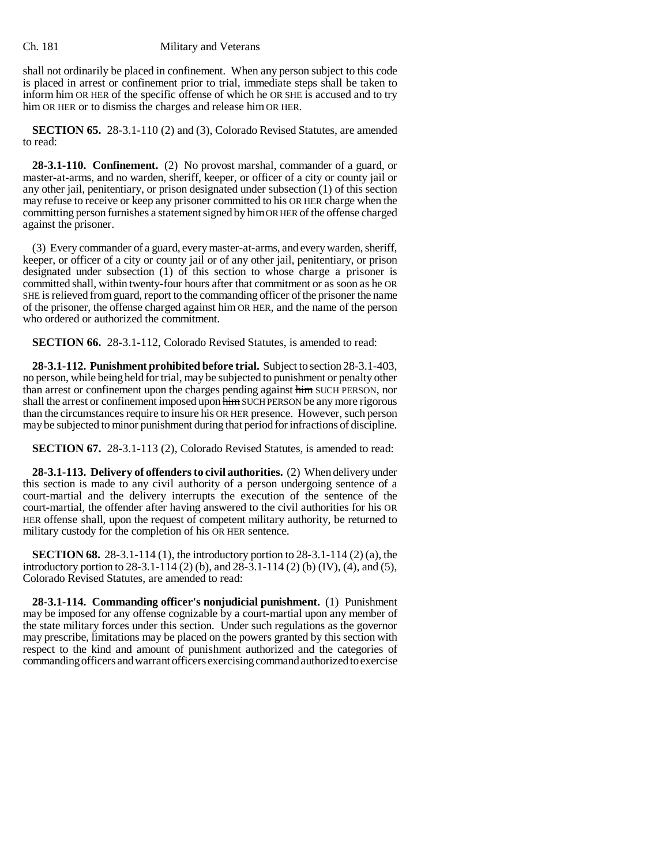shall not ordinarily be placed in confinement. When any person subject to this code is placed in arrest or confinement prior to trial, immediate steps shall be taken to inform him OR HER of the specific offense of which he OR SHE is accused and to try him OR HER or to dismiss the charges and release him OR HER.

**SECTION 65.** 28-3.1-110 (2) and (3), Colorado Revised Statutes, are amended to read:

**28-3.1-110. Confinement.** (2) No provost marshal, commander of a guard, or master-at-arms, and no warden, sheriff, keeper, or officer of a city or county jail or any other jail, penitentiary, or prison designated under subsection (1) of this section may refuse to receive or keep any prisoner committed to his OR HER charge when the committing person furnishes a statement signed by him OR HER of the offense charged against the prisoner.

(3) Every commander of a guard, every master-at-arms, and every warden, sheriff, keeper, or officer of a city or county jail or of any other jail, penitentiary, or prison designated under subsection (1) of this section to whose charge a prisoner is committed shall, within twenty-four hours after that commitment or as soon as he OR SHE is relieved from guard, report to the commanding officer of the prisoner the name of the prisoner, the offense charged against him OR HER, and the name of the person who ordered or authorized the commitment.

**SECTION 66.** 28-3.1-112, Colorado Revised Statutes, is amended to read:

**28-3.1-112. Punishment prohibited before trial.** Subject to section 28-3.1-403, no person, while being held for trial, may be subjected to punishment or penalty other than arrest or confinement upon the charges pending against him SUCH PERSON, nor shall the arrest or confinement imposed upon  $\frac{1}{2}$  film SUCH PERSON be any more rigorous than the circumstances require to insure his OR HER presence. However, such person may be subjected to minor punishment during that period for infractions of discipline.

**SECTION 67.** 28-3.1-113 (2), Colorado Revised Statutes, is amended to read:

**28-3.1-113. Delivery of offenders to civil authorities.** (2) When delivery under this section is made to any civil authority of a person undergoing sentence of a court-martial and the delivery interrupts the execution of the sentence of the court-martial, the offender after having answered to the civil authorities for his OR HER offense shall, upon the request of competent military authority, be returned to military custody for the completion of his OR HER sentence.

**SECTION 68.** 28-3.1-114 (1), the introductory portion to 28-3.1-114 (2) (a), the introductory portion to 28-3.1-114 (2) (b), and 28-3.1-114 (2) (b) (IV), (4), and (5), Colorado Revised Statutes, are amended to read:

**28-3.1-114. Commanding officer's nonjudicial punishment.** (1) Punishment may be imposed for any offense cognizable by a court-martial upon any member of the state military forces under this section. Under such regulations as the governor may prescribe, limitations may be placed on the powers granted by this section with respect to the kind and amount of punishment authorized and the categories of commanding officers and warrant officers exercising command authorized to exercise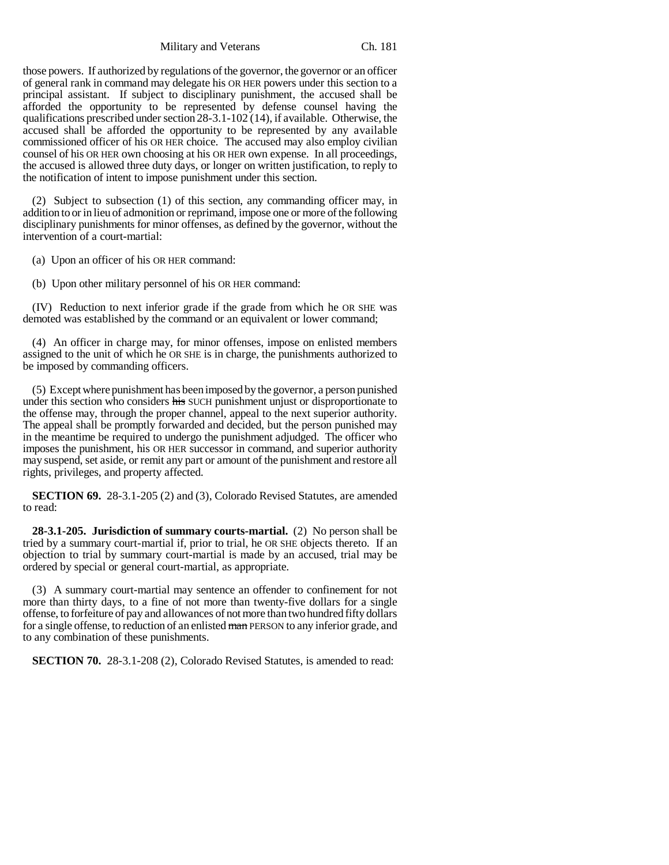those powers. If authorized by regulations of the governor, the governor or an officer of general rank in command may delegate his OR HER powers under this section to a principal assistant. If subject to disciplinary punishment, the accused shall be afforded the opportunity to be represented by defense counsel having the qualifications prescribed under section 28-3.1-102 (14), if available. Otherwise, the accused shall be afforded the opportunity to be represented by any available commissioned officer of his OR HER choice. The accused may also employ civilian counsel of his OR HER own choosing at his OR HER own expense. In all proceedings, the accused is allowed three duty days, or longer on written justification, to reply to the notification of intent to impose punishment under this section.

(2) Subject to subsection (1) of this section, any commanding officer may, in addition to or in lieu of admonition or reprimand, impose one or more of the following disciplinary punishments for minor offenses, as defined by the governor, without the intervention of a court-martial:

(a) Upon an officer of his OR HER command:

(b) Upon other military personnel of his OR HER command:

(IV) Reduction to next inferior grade if the grade from which he OR SHE was demoted was established by the command or an equivalent or lower command;

(4) An officer in charge may, for minor offenses, impose on enlisted members assigned to the unit of which he OR SHE is in charge, the punishments authorized to be imposed by commanding officers.

(5) Except where punishment has been imposed by the governor, a person punished under this section who considers his SUCH punishment unjust or disproportionate to the offense may, through the proper channel, appeal to the next superior authority. The appeal shall be promptly forwarded and decided, but the person punished may in the meantime be required to undergo the punishment adjudged. The officer who imposes the punishment, his OR HER successor in command, and superior authority may suspend, set aside, or remit any part or amount of the punishment and restore all rights, privileges, and property affected.

**SECTION 69.** 28-3.1-205 (2) and (3), Colorado Revised Statutes, are amended to read:

**28-3.1-205. Jurisdiction of summary courts-martial.** (2) No person shall be tried by a summary court-martial if, prior to trial, he OR SHE objects thereto. If an objection to trial by summary court-martial is made by an accused, trial may be ordered by special or general court-martial, as appropriate.

(3) A summary court-martial may sentence an offender to confinement for not more than thirty days, to a fine of not more than twenty-five dollars for a single offense, to forfeiture of pay and allowances of not more than two hundred fifty dollars for a single offense, to reduction of an enlisted man PERSON to any inferior grade, and to any combination of these punishments.

**SECTION 70.** 28-3.1-208 (2), Colorado Revised Statutes, is amended to read: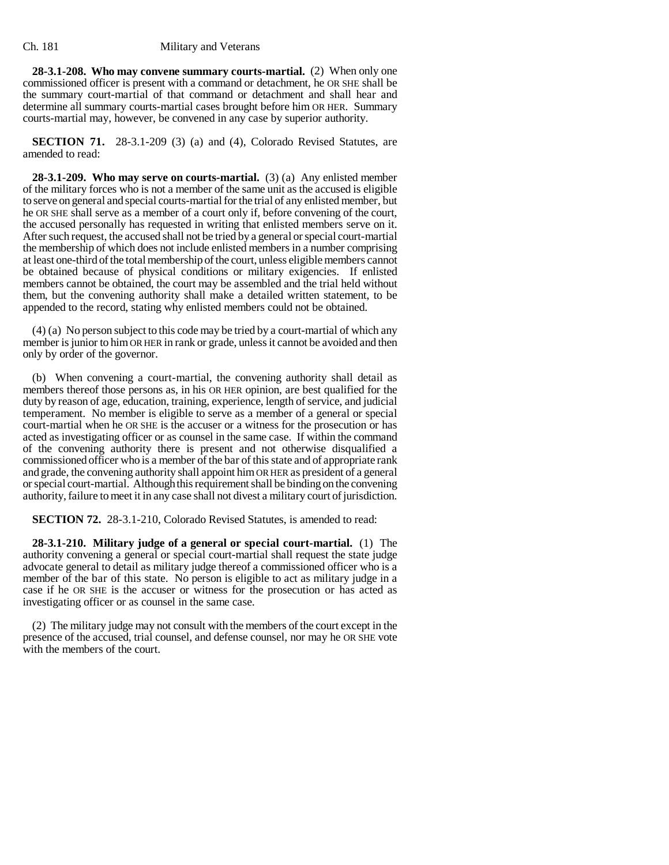**28-3.1-208. Who may convene summary courts-martial.** (2) When only one commissioned officer is present with a command or detachment, he OR SHE shall be the summary court-martial of that command or detachment and shall hear and determine all summary courts-martial cases brought before him OR HER. Summary courts-martial may, however, be convened in any case by superior authority.

**SECTION 71.** 28-3.1-209 (3) (a) and (4), Colorado Revised Statutes, are amended to read:

**28-3.1-209. Who may serve on courts-martial.** (3) (a) Any enlisted member of the military forces who is not a member of the same unit as the accused is eligible to serve on general and special courts-martial for the trial of any enlisted member, but he OR SHE shall serve as a member of a court only if, before convening of the court, the accused personally has requested in writing that enlisted members serve on it. After such request, the accused shall not be tried by a general or special court-martial the membership of which does not include enlisted members in a number comprising at least one-third of the total membership of the court, unless eligible members cannot be obtained because of physical conditions or military exigencies. If enlisted members cannot be obtained, the court may be assembled and the trial held without them, but the convening authority shall make a detailed written statement, to be appended to the record, stating why enlisted members could not be obtained.

(4) (a) No person subject to this code may be tried by a court-martial of which any member is junior to him OR HER in rank or grade, unless it cannot be avoided and then only by order of the governor.

(b) When convening a court-martial, the convening authority shall detail as members thereof those persons as, in his OR HER opinion, are best qualified for the duty by reason of age, education, training, experience, length of service, and judicial temperament. No member is eligible to serve as a member of a general or special court-martial when he OR SHE is the accuser or a witness for the prosecution or has acted as investigating officer or as counsel in the same case. If within the command of the convening authority there is present and not otherwise disqualified a commissioned officer who is a member of the bar of this state and of appropriate rank and grade, the convening authority shall appoint him OR HER as president of a general or special court-martial. Although this requirement shall be binding on the convening authority, failure to meet it in any case shall not divest a military court of jurisdiction.

**SECTION 72.** 28-3.1-210, Colorado Revised Statutes, is amended to read:

**28-3.1-210. Military judge of a general or special court-martial.** (1) The authority convening a general or special court-martial shall request the state judge advocate general to detail as military judge thereof a commissioned officer who is a member of the bar of this state. No person is eligible to act as military judge in a case if he OR SHE is the accuser or witness for the prosecution or has acted as investigating officer or as counsel in the same case.

(2) The military judge may not consult with the members of the court except in the presence of the accused, trial counsel, and defense counsel, nor may he OR SHE vote with the members of the court.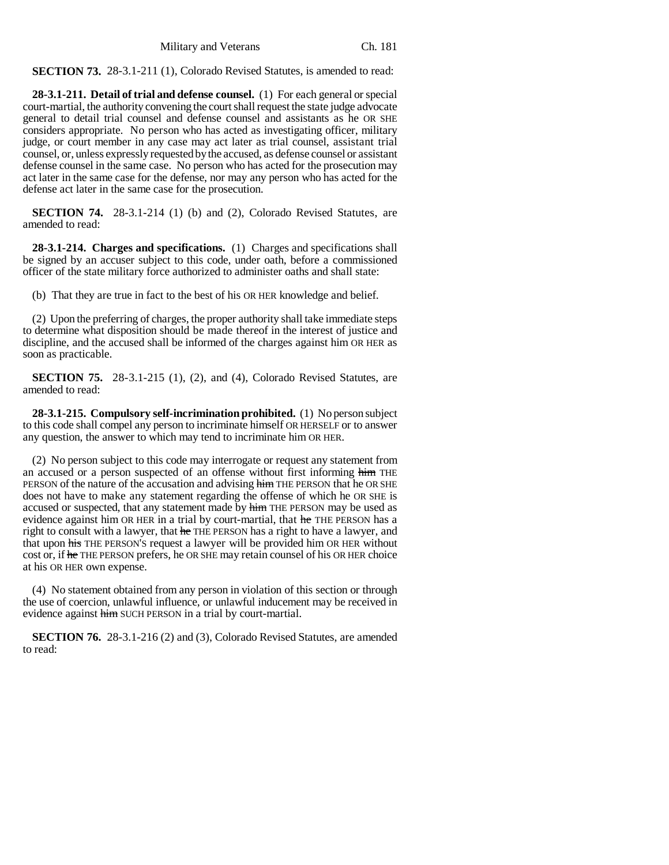**SECTION 73.** 28-3.1-211 (1), Colorado Revised Statutes, is amended to read:

**28-3.1-211. Detail of trial and defense counsel.** (1) For each general or special court-martial, the authority convening the court shall request the state judge advocate general to detail trial counsel and defense counsel and assistants as he OR SHE considers appropriate. No person who has acted as investigating officer, military judge, or court member in any case may act later as trial counsel, assistant trial counsel, or, unless expressly requested by the accused, as defense counsel or assistant defense counsel in the same case. No person who has acted for the prosecution may act later in the same case for the defense, nor may any person who has acted for the defense act later in the same case for the prosecution.

**SECTION 74.** 28-3.1-214 (1) (b) and (2), Colorado Revised Statutes, are amended to read:

**28-3.1-214. Charges and specifications.** (1) Charges and specifications shall be signed by an accuser subject to this code, under oath, before a commissioned officer of the state military force authorized to administer oaths and shall state:

(b) That they are true in fact to the best of his OR HER knowledge and belief.

(2) Upon the preferring of charges, the proper authority shall take immediate steps to determine what disposition should be made thereof in the interest of justice and discipline, and the accused shall be informed of the charges against him OR HER as soon as practicable.

**SECTION 75.** 28-3.1-215 (1), (2), and (4), Colorado Revised Statutes, are amended to read:

**28-3.1-215. Compulsory self-incrimination prohibited.** (1) No person subject to this code shall compel any person to incriminate himself OR HERSELF or to answer any question, the answer to which may tend to incriminate him OR HER.

(2) No person subject to this code may interrogate or request any statement from an accused or a person suspected of an offense without first informing him THE PERSON of the nature of the accusation and advising him THE PERSON that he OR SHE does not have to make any statement regarding the offense of which he OR SHE is accused or suspected, that any statement made by him THE PERSON may be used as evidence against him OR HER in a trial by court-martial, that he THE PERSON has a right to consult with a lawyer, that he THE PERSON has a right to have a lawyer, and that upon his THE PERSON's request a lawyer will be provided him OR HER without cost or, if he THE PERSON prefers, he OR SHE may retain counsel of his OR HER choice at his OR HER own expense.

(4) No statement obtained from any person in violation of this section or through the use of coercion, unlawful influence, or unlawful inducement may be received in evidence against him SUCH PERSON in a trial by court-martial.

**SECTION 76.** 28-3.1-216 (2) and (3), Colorado Revised Statutes, are amended to read: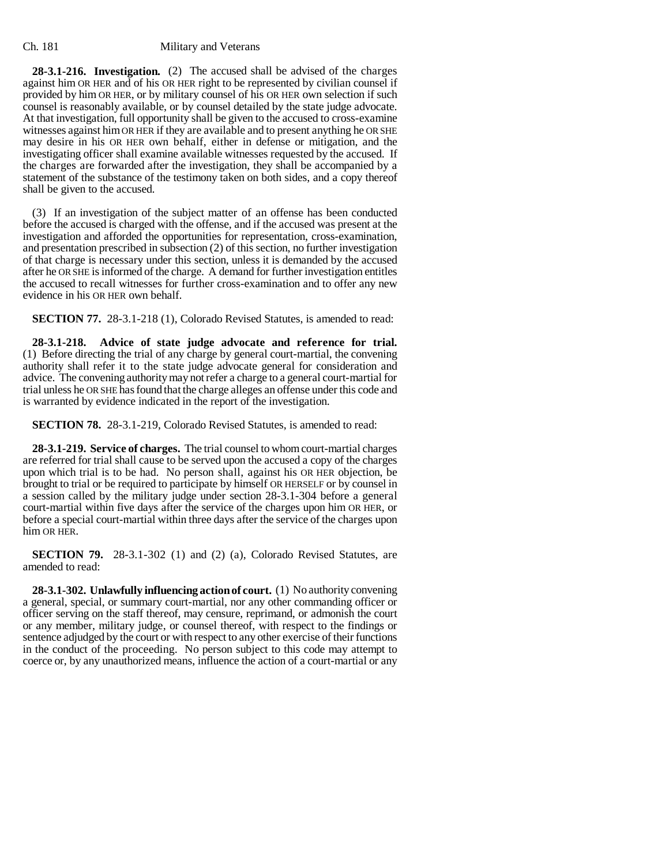**28-3.1-216. Investigation.** (2) The accused shall be advised of the charges against him OR HER and of his OR HER right to be represented by civilian counsel if provided by him OR HER, or by military counsel of his OR HER own selection if such counsel is reasonably available, or by counsel detailed by the state judge advocate. At that investigation, full opportunity shall be given to the accused to cross-examine witnesses against him OR HER if they are available and to present anything he OR SHE may desire in his OR HER own behalf, either in defense or mitigation, and the investigating officer shall examine available witnesses requested by the accused. If the charges are forwarded after the investigation, they shall be accompanied by a statement of the substance of the testimony taken on both sides, and a copy thereof shall be given to the accused.

(3) If an investigation of the subject matter of an offense has been conducted before the accused is charged with the offense, and if the accused was present at the investigation and afforded the opportunities for representation, cross-examination, and presentation prescribed in subsection (2) of this section, no further investigation of that charge is necessary under this section, unless it is demanded by the accused after he OR SHE is informed of the charge. A demand for further investigation entitles the accused to recall witnesses for further cross-examination and to offer any new evidence in his OR HER own behalf.

**SECTION 77.** 28-3.1-218 (1), Colorado Revised Statutes, is amended to read:

**28-3.1-218. Advice of state judge advocate and reference for trial.** (1) Before directing the trial of any charge by general court-martial, the convening authority shall refer it to the state judge advocate general for consideration and advice. The convening authority may not refer a charge to a general court-martial for trial unless he OR SHE has found that the charge alleges an offense under this code and is warranted by evidence indicated in the report of the investigation.

**SECTION 78.** 28-3.1-219, Colorado Revised Statutes, is amended to read:

**28-3.1-219. Service of charges.** The trial counsel to whom court-martial charges are referred for trial shall cause to be served upon the accused a copy of the charges upon which trial is to be had. No person shall, against his OR HER objection, be brought to trial or be required to participate by himself OR HERSELF or by counsel in a session called by the military judge under section 28-3.1-304 before a general court-martial within five days after the service of the charges upon him OR HER, or before a special court-martial within three days after the service of the charges upon him OR HER.

**SECTION 79.** 28-3.1-302 (1) and (2) (a), Colorado Revised Statutes, are amended to read:

**28-3.1-302. Unlawfully influencing action of court.** (1) No authority convening a general, special, or summary court-martial, nor any other commanding officer or officer serving on the staff thereof, may censure, reprimand, or admonish the court or any member, military judge, or counsel thereof, with respect to the findings or sentence adjudged by the court or with respect to any other exercise of their functions in the conduct of the proceeding. No person subject to this code may attempt to coerce or, by any unauthorized means, influence the action of a court-martial or any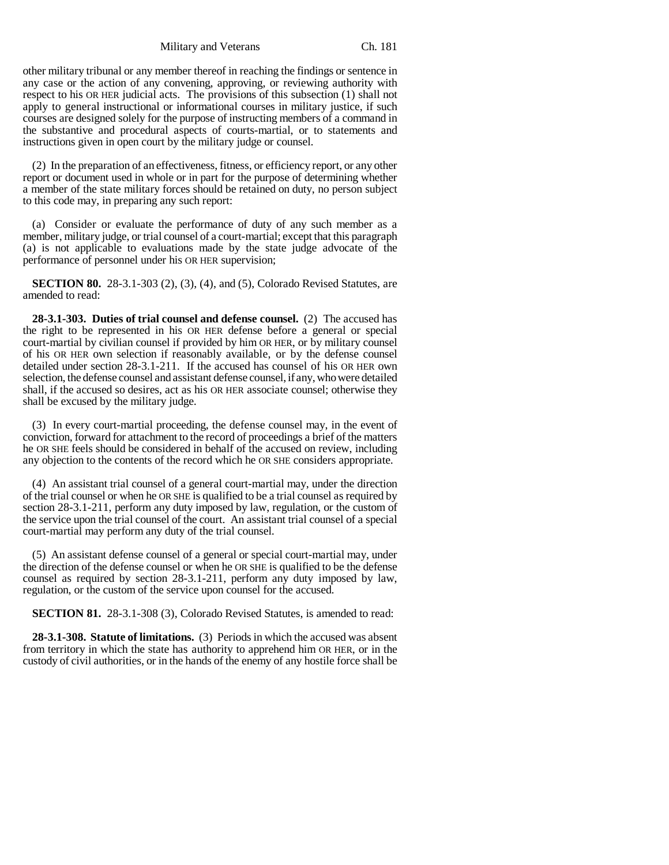other military tribunal or any member thereof in reaching the findings or sentence in any case or the action of any convening, approving, or reviewing authority with respect to his OR HER judicial acts. The provisions of this subsection (1) shall not apply to general instructional or informational courses in military justice, if such courses are designed solely for the purpose of instructing members of a command in the substantive and procedural aspects of courts-martial, or to statements and instructions given in open court by the military judge or counsel.

(2) In the preparation of an effectiveness, fitness, or efficiency report, or any other report or document used in whole or in part for the purpose of determining whether a member of the state military forces should be retained on duty, no person subject to this code may, in preparing any such report:

(a) Consider or evaluate the performance of duty of any such member as a member, military judge, or trial counsel of a court-martial; except that this paragraph (a) is not applicable to evaluations made by the state judge advocate of the performance of personnel under his OR HER supervision;

**SECTION 80.** 28-3.1-303 (2), (3), (4), and (5), Colorado Revised Statutes, are amended to read:

**28-3.1-303. Duties of trial counsel and defense counsel.** (2) The accused has the right to be represented in his OR HER defense before a general or special court-martial by civilian counsel if provided by him OR HER, or by military counsel of his OR HER own selection if reasonably available, or by the defense counsel detailed under section 28-3.1-211. If the accused has counsel of his OR HER own selection, the defense counsel and assistant defense counsel, if any, who were detailed shall, if the accused so desires, act as his OR HER associate counsel; otherwise they shall be excused by the military judge.

(3) In every court-martial proceeding, the defense counsel may, in the event of conviction, forward for attachment to the record of proceedings a brief of the matters he OR SHE feels should be considered in behalf of the accused on review, including any objection to the contents of the record which he OR SHE considers appropriate.

(4) An assistant trial counsel of a general court-martial may, under the direction of the trial counsel or when he OR SHE is qualified to be a trial counsel as required by section 28-3.1-211, perform any duty imposed by law, regulation, or the custom of the service upon the trial counsel of the court. An assistant trial counsel of a special court-martial may perform any duty of the trial counsel.

(5) An assistant defense counsel of a general or special court-martial may, under the direction of the defense counsel or when he OR SHE is qualified to be the defense counsel as required by section 28-3.1-211, perform any duty imposed by law, regulation, or the custom of the service upon counsel for the accused.

**SECTION 81.** 28-3.1-308 (3), Colorado Revised Statutes, is amended to read:

**28-3.1-308. Statute of limitations.** (3) Periods in which the accused was absent from territory in which the state has authority to apprehend him OR HER, or in the custody of civil authorities, or in the hands of the enemy of any hostile force shall be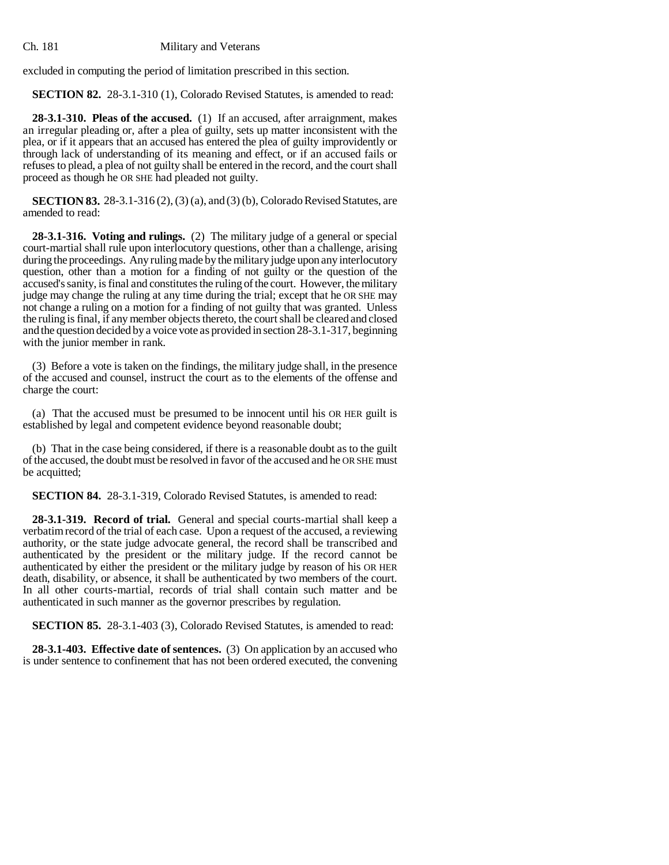excluded in computing the period of limitation prescribed in this section.

**SECTION 82.** 28-3.1-310 (1), Colorado Revised Statutes, is amended to read:

**28-3.1-310. Pleas of the accused.** (1) If an accused, after arraignment, makes an irregular pleading or, after a plea of guilty, sets up matter inconsistent with the plea, or if it appears that an accused has entered the plea of guilty improvidently or through lack of understanding of its meaning and effect, or if an accused fails or refuses to plead, a plea of not guilty shall be entered in the record, and the court shall proceed as though he OR SHE had pleaded not guilty.

**SECTION 83.** 28-3.1-316 (2), (3) (a), and (3) (b), Colorado Revised Statutes, are amended to read:

**28-3.1-316. Voting and rulings.** (2) The military judge of a general or special court-martial shall rule upon interlocutory questions, other than a challenge, arising during the proceedings. Any ruling made by the military judge upon any interlocutory question, other than a motion for a finding of not guilty or the question of the accused's sanity, is final and constitutes the ruling of the court. However, the military judge may change the ruling at any time during the trial; except that he OR SHE may not change a ruling on a motion for a finding of not guilty that was granted. Unless the ruling is final, if any member objects thereto, the court shall be cleared and closed and the question decided by a voice vote as provided in section 28-3.1-317, beginning with the junior member in rank.

(3) Before a vote is taken on the findings, the military judge shall, in the presence of the accused and counsel, instruct the court as to the elements of the offense and charge the court:

(a) That the accused must be presumed to be innocent until his OR HER guilt is established by legal and competent evidence beyond reasonable doubt;

(b) That in the case being considered, if there is a reasonable doubt as to the guilt of the accused, the doubt must be resolved in favor of the accused and he OR SHE must be acquitted;

**SECTION 84.** 28-3.1-319, Colorado Revised Statutes, is amended to read:

**28-3.1-319. Record of trial.** General and special courts-martial shall keep a verbatim record of the trial of each case. Upon a request of the accused, a reviewing authority, or the state judge advocate general, the record shall be transcribed and authenticated by the president or the military judge. If the record cannot be authenticated by either the president or the military judge by reason of his OR HER death, disability, or absence, it shall be authenticated by two members of the court. In all other courts-martial, records of trial shall contain such matter and be authenticated in such manner as the governor prescribes by regulation.

**SECTION 85.** 28-3.1-403 (3), Colorado Revised Statutes, is amended to read:

**28-3.1-403. Effective date of sentences.** (3) On application by an accused who is under sentence to confinement that has not been ordered executed, the convening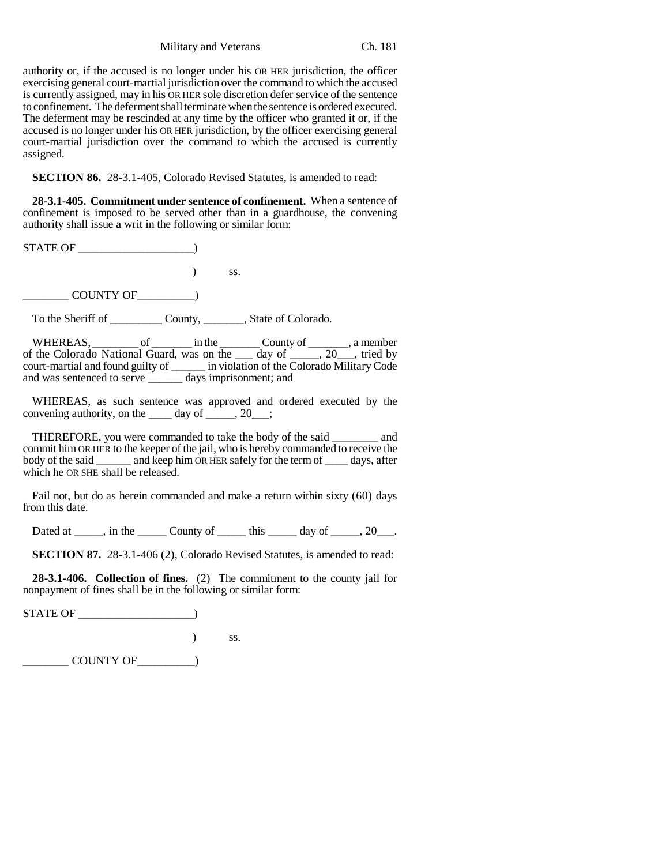authority or, if the accused is no longer under his OR HER jurisdiction, the officer exercising general court-martial jurisdiction over the command to which the accused is currently assigned, may in his OR HER sole discretion defer service of the sentence to confinement. The deferment shall terminate when the sentence is ordered executed. The deferment may be rescinded at any time by the officer who granted it or, if the accused is no longer under his OR HER jurisdiction, by the officer exercising general court-martial jurisdiction over the command to which the accused is currently assigned.

**SECTION 86.** 28-3.1-405, Colorado Revised Statutes, is amended to read:

**28-3.1-405. Commitment under sentence of confinement.** When a sentence of confinement is imposed to be served other than in a guardhouse, the convening authority shall issue a writ in the following or similar form:

STATE OF \_\_\_\_\_\_\_\_\_\_\_\_\_\_\_\_\_\_\_\_) ) ss. COUNTY OF THE SECTION OF

To the Sheriff of \_\_\_\_\_\_\_\_\_ County, \_\_\_\_\_\_\_, State of Colorado.

WHEREAS, \_\_\_\_\_\_\_\_\_ of \_\_\_\_\_\_\_\_ in the \_\_\_\_\_\_\_\_ County of \_\_\_\_\_\_\_, a member of the Colorado National Guard, was on the \_\_\_ day of \_\_\_\_\_, 20\_\_\_, tried by court-martial and found guilty of \_\_\_\_\_\_ in violation of the Colorado Military Code and was sentenced to serve \_\_\_\_\_\_ days imprisonment; and

WHEREAS, as such sentence was approved and ordered executed by the convening authority, on the  $\_\_\_\$  day of  $\_\_\_\_\$ , 20 $\_\_\_\$ ;

THEREFORE, you were commanded to take the body of the said \_\_\_\_\_\_\_\_ and commit him OR HER to the keeper of the jail, who is hereby commanded to receive the body of the said \_\_\_\_\_\_ and keep him OR HER safely for the term of \_\_\_\_\_ days, after which he OR SHE shall be released.

Fail not, but do as herein commanded and make a return within sixty (60) days from this date.

Dated at \_\_\_\_, in the \_\_\_\_\_ County of \_\_\_\_\_\_ this \_\_\_\_\_\_ day of \_\_\_\_\_, 20\_\_\_.

**SECTION 87.** 28-3.1-406 (2), Colorado Revised Statutes, is amended to read:

**28-3.1-406. Collection of fines.** (2) The commitment to the county jail for nonpayment of fines shall be in the following or similar form:

STATE OF \_\_\_\_\_\_\_\_\_\_\_\_\_\_\_\_\_\_\_\_) ) ss. \_\_\_\_\_\_\_\_ COUNTY OF\_\_\_\_\_\_\_\_\_\_)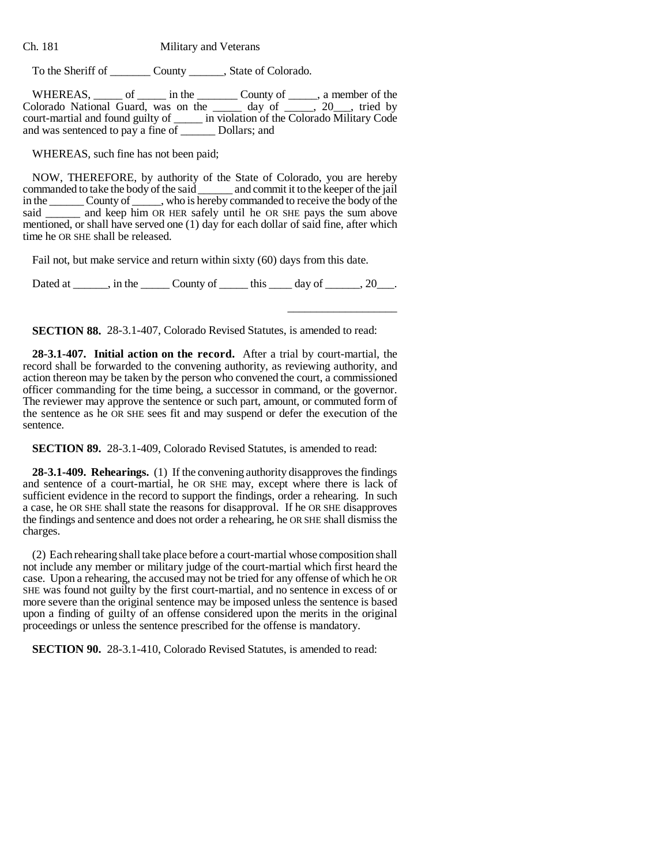To the Sheriff of \_\_\_\_\_\_\_ County \_\_\_\_\_\_, State of Colorado.

| WHEREAS.                            | ΩŤ | in the | County of                       | , a member of the                          |
|-------------------------------------|----|--------|---------------------------------|--------------------------------------------|
| Colorado National Guard, was on the |    |        | day of $\overline{\phantom{a}}$ | $\frac{1}{20}$ , tried by                  |
| court-martial and found guilty of   |    |        |                                 | in violation of the Colorado Military Code |
| and was sentenced to pay a fine of  |    |        | Dollars: and                    |                                            |

WHEREAS, such fine has not been paid;

NOW, THEREFORE, by authority of the State of Colorado, you are hereby commanded to take the body of the said \_\_\_\_\_\_ and commit it to the keeper of the jail in the \_\_\_\_\_\_ County of \_\_\_\_\_, who is hereby commanded to receive the body of the said \_\_\_\_\_\_\_ and keep him OR HER safely until he OR SHE pays the sum above mentioned, or shall have served one (1) day for each dollar of said fine, after which time he OR SHE shall be released.

Fail not, but make service and return within sixty (60) days from this date.

Dated at \_\_\_\_\_, in the \_\_\_\_\_ County of \_\_\_\_\_ this \_\_\_\_ day of \_\_\_\_\_, 20\_\_\_.

\_\_\_\_\_\_\_\_\_\_\_\_\_\_\_\_\_\_\_

**SECTION 88.** 28-3.1-407, Colorado Revised Statutes, is amended to read:

**28-3.1-407. Initial action on the record.** After a trial by court-martial, the record shall be forwarded to the convening authority, as reviewing authority, and action thereon may be taken by the person who convened the court, a commissioned officer commanding for the time being, a successor in command, or the governor. The reviewer may approve the sentence or such part, amount, or commuted form of the sentence as he OR SHE sees fit and may suspend or defer the execution of the sentence.

**SECTION 89.** 28-3.1-409, Colorado Revised Statutes, is amended to read:

**28-3.1-409. Rehearings.** (1) If the convening authority disapproves the findings and sentence of a court-martial, he OR SHE may, except where there is lack of sufficient evidence in the record to support the findings, order a rehearing. In such a case, he OR SHE shall state the reasons for disapproval. If he OR SHE disapproves the findings and sentence and does not order a rehearing, he OR SHE shall dismiss the charges.

(2) Each rehearing shall take place before a court-martial whose composition shall not include any member or military judge of the court-martial which first heard the case. Upon a rehearing, the accused may not be tried for any offense of which he OR SHE was found not guilty by the first court-martial, and no sentence in excess of or more severe than the original sentence may be imposed unless the sentence is based upon a finding of guilty of an offense considered upon the merits in the original proceedings or unless the sentence prescribed for the offense is mandatory.

**SECTION 90.** 28-3.1-410, Colorado Revised Statutes, is amended to read: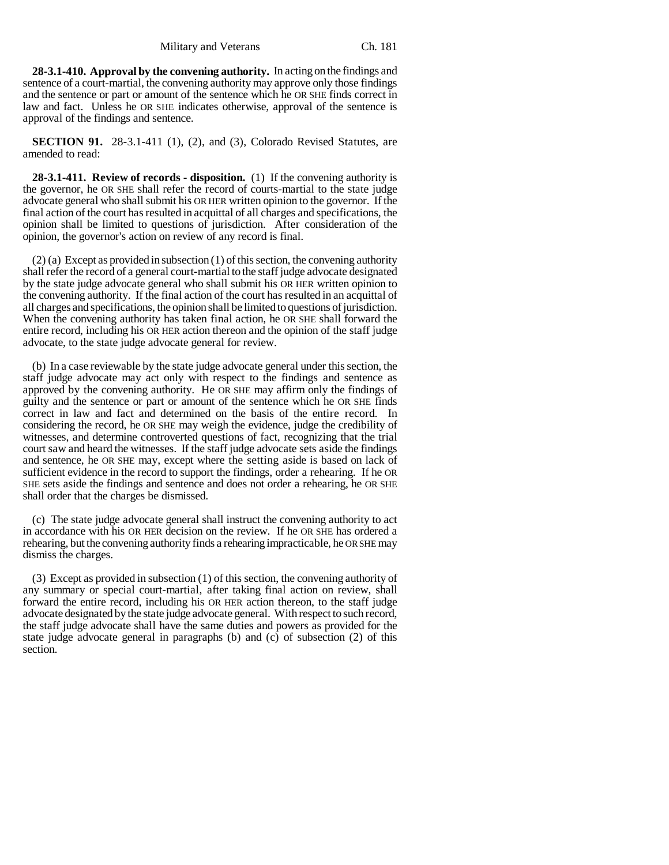**28-3.1-410. Approval by the convening authority.** In acting on the findings and sentence of a court-martial, the convening authority may approve only those findings and the sentence or part or amount of the sentence which he OR SHE finds correct in law and fact. Unless he OR SHE indicates otherwise, approval of the sentence is approval of the findings and sentence.

**SECTION 91.** 28-3.1-411 (1), (2), and (3), Colorado Revised Statutes, are amended to read:

**28-3.1-411. Review of records - disposition.** (1) If the convening authority is the governor, he OR SHE shall refer the record of courts-martial to the state judge advocate general who shall submit his OR HER written opinion to the governor. If the final action of the court has resulted in acquittal of all charges and specifications, the opinion shall be limited to questions of jurisdiction. After consideration of the opinion, the governor's action on review of any record is final.

 $(2)$  (a) Except as provided in subsection (1) of this section, the convening authority shall refer the record of a general court-martial to the staff judge advocate designated by the state judge advocate general who shall submit his OR HER written opinion to the convening authority. If the final action of the court has resulted in an acquittal of all charges and specifications, the opinion shall be limited to questions of jurisdiction. When the convening authority has taken final action, he OR SHE shall forward the entire record, including his OR HER action thereon and the opinion of the staff judge advocate, to the state judge advocate general for review.

(b) In a case reviewable by the state judge advocate general under this section, the staff judge advocate may act only with respect to the findings and sentence as approved by the convening authority. He OR SHE may affirm only the findings of guilty and the sentence or part or amount of the sentence which he OR SHE finds correct in law and fact and determined on the basis of the entire record. In considering the record, he OR SHE may weigh the evidence, judge the credibility of witnesses, and determine controverted questions of fact, recognizing that the trial court saw and heard the witnesses. If the staff judge advocate sets aside the findings and sentence, he OR SHE may, except where the setting aside is based on lack of sufficient evidence in the record to support the findings, order a rehearing. If he OR SHE sets aside the findings and sentence and does not order a rehearing, he OR SHE shall order that the charges be dismissed.

(c) The state judge advocate general shall instruct the convening authority to act in accordance with his OR HER decision on the review. If he OR SHE has ordered a rehearing, but the convening authority finds a rehearing impracticable, he OR SHE may dismiss the charges.

(3) Except as provided in subsection (1) of this section, the convening authority of any summary or special court-martial, after taking final action on review, shall forward the entire record, including his OR HER action thereon, to the staff judge advocate designated by the state judge advocate general. With respect to such record, the staff judge advocate shall have the same duties and powers as provided for the state judge advocate general in paragraphs (b) and (c) of subsection (2) of this section.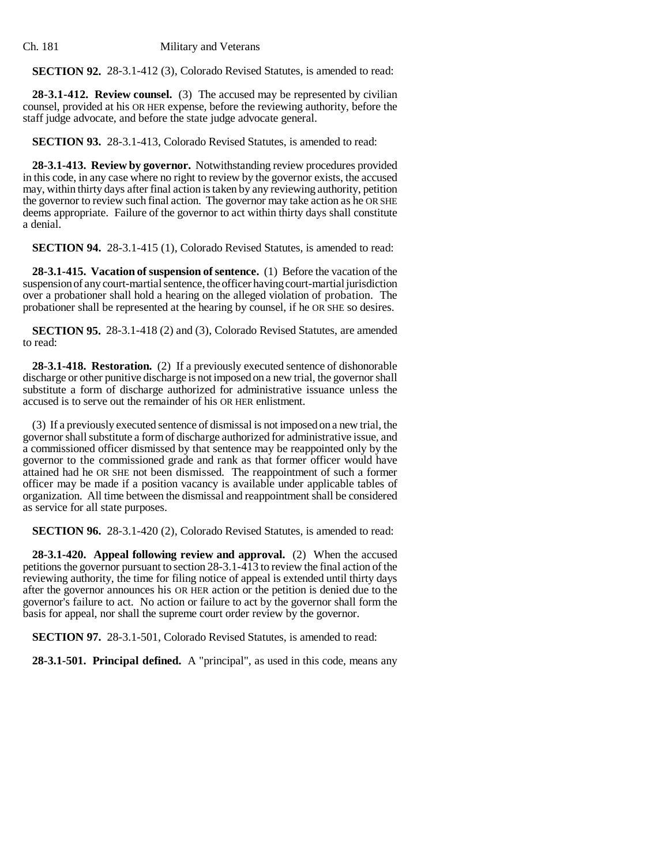**SECTION 92.** 28-3.1-412 (3), Colorado Revised Statutes, is amended to read:

**28-3.1-412. Review counsel.** (3) The accused may be represented by civilian counsel, provided at his OR HER expense, before the reviewing authority, before the staff judge advocate, and before the state judge advocate general.

**SECTION 93.** 28-3.1-413, Colorado Revised Statutes, is amended to read:

**28-3.1-413. Review by governor.** Notwithstanding review procedures provided in this code, in any case where no right to review by the governor exists, the accused may, within thirty days after final action is taken by any reviewing authority, petition the governor to review such final action. The governor may take action as he OR SHE deems appropriate. Failure of the governor to act within thirty days shall constitute a denial.

**SECTION 94.** 28-3.1-415 (1), Colorado Revised Statutes, is amended to read:

**28-3.1-415. Vacation of suspension of sentence.** (1) Before the vacation of the suspension of any court-martial sentence, the officer having court-martial jurisdiction over a probationer shall hold a hearing on the alleged violation of probation. The probationer shall be represented at the hearing by counsel, if he OR SHE so desires.

**SECTION 95.** 28-3.1-418 (2) and (3), Colorado Revised Statutes, are amended to read:

**28-3.1-418. Restoration.** (2) If a previously executed sentence of dishonorable discharge or other punitive discharge is not imposed on a new trial, the governor shall substitute a form of discharge authorized for administrative issuance unless the accused is to serve out the remainder of his OR HER enlistment.

(3) If a previously executed sentence of dismissal is not imposed on a new trial, the governor shall substitute a form of discharge authorized for administrative issue, and a commissioned officer dismissed by that sentence may be reappointed only by the governor to the commissioned grade and rank as that former officer would have attained had he OR SHE not been dismissed. The reappointment of such a former officer may be made if a position vacancy is available under applicable tables of organization. All time between the dismissal and reappointment shall be considered as service for all state purposes.

**SECTION 96.** 28-3.1-420 (2), Colorado Revised Statutes, is amended to read:

**28-3.1-420. Appeal following review and approval.** (2) When the accused petitions the governor pursuant to section 28-3.1-413 to review the final action of the reviewing authority, the time for filing notice of appeal is extended until thirty days after the governor announces his OR HER action or the petition is denied due to the governor's failure to act. No action or failure to act by the governor shall form the basis for appeal, nor shall the supreme court order review by the governor.

**SECTION 97.** 28-3.1-501, Colorado Revised Statutes, is amended to read:

**28-3.1-501. Principal defined.** A "principal", as used in this code, means any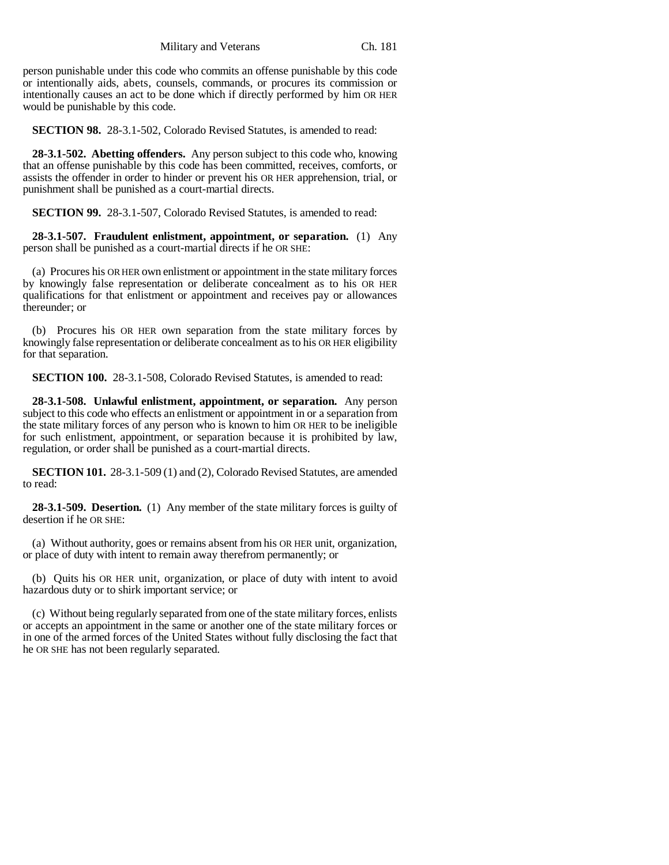person punishable under this code who commits an offense punishable by this code or intentionally aids, abets, counsels, commands, or procures its commission or intentionally causes an act to be done which if directly performed by him OR HER would be punishable by this code.

**SECTION 98.** 28-3.1-502, Colorado Revised Statutes, is amended to read:

**28-3.1-502. Abetting offenders.** Any person subject to this code who, knowing that an offense punishable by this code has been committed, receives, comforts, or assists the offender in order to hinder or prevent his OR HER apprehension, trial, or punishment shall be punished as a court-martial directs.

**SECTION 99.** 28-3.1-507, Colorado Revised Statutes, is amended to read:

**28-3.1-507. Fraudulent enlistment, appointment, or separation.** (1) Any person shall be punished as a court-martial directs if he OR SHE:

(a) Procures his OR HER own enlistment or appointment in the state military forces by knowingly false representation or deliberate concealment as to his OR HER qualifications for that enlistment or appointment and receives pay or allowances thereunder; or

(b) Procures his OR HER own separation from the state military forces by knowingly false representation or deliberate concealment as to his OR HER eligibility for that separation.

**SECTION 100.** 28-3.1-508, Colorado Revised Statutes, is amended to read:

**28-3.1-508. Unlawful enlistment, appointment, or separation.** Any person subject to this code who effects an enlistment or appointment in or a separation from the state military forces of any person who is known to him OR HER to be ineligible for such enlistment, appointment, or separation because it is prohibited by law, regulation, or order shall be punished as a court-martial directs.

**SECTION 101.** 28-3.1-509 (1) and (2), Colorado Revised Statutes, are amended to read:

**28-3.1-509. Desertion.** (1) Any member of the state military forces is guilty of desertion if he OR SHE:

(a) Without authority, goes or remains absent from his OR HER unit, organization, or place of duty with intent to remain away therefrom permanently; or

(b) Quits his OR HER unit, organization, or place of duty with intent to avoid hazardous duty or to shirk important service; or

(c) Without being regularly separated from one of the state military forces, enlists or accepts an appointment in the same or another one of the state military forces or in one of the armed forces of the United States without fully disclosing the fact that he OR SHE has not been regularly separated.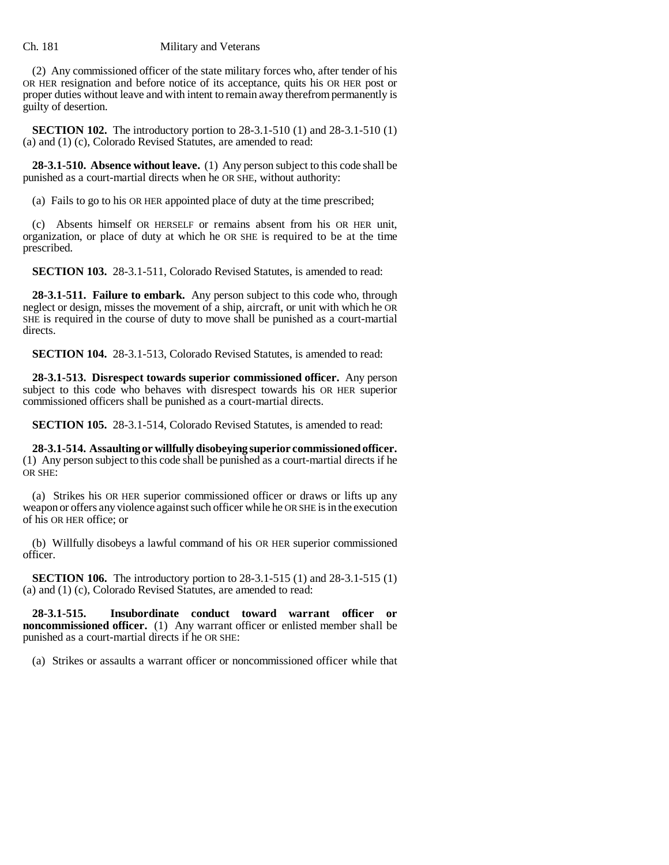(2) Any commissioned officer of the state military forces who, after tender of his OR HER resignation and before notice of its acceptance, quits his OR HER post or proper duties without leave and with intent to remain away therefrom permanently is guilty of desertion.

**SECTION 102.** The introductory portion to 28-3.1-510 (1) and 28-3.1-510 (1) (a) and (1) (c), Colorado Revised Statutes, are amended to read:

**28-3.1-510. Absence without leave.** (1) Any person subject to this code shall be punished as a court-martial directs when he OR SHE, without authority:

(a) Fails to go to his OR HER appointed place of duty at the time prescribed;

(c) Absents himself OR HERSELF or remains absent from his OR HER unit, organization, or place of duty at which he OR SHE is required to be at the time prescribed.

**SECTION 103.** 28-3.1-511, Colorado Revised Statutes, is amended to read:

**28-3.1-511. Failure to embark.** Any person subject to this code who, through neglect or design, misses the movement of a ship, aircraft, or unit with which he OR SHE is required in the course of duty to move shall be punished as a court-martial directs.

**SECTION 104.** 28-3.1-513, Colorado Revised Statutes, is amended to read:

**28-3.1-513. Disrespect towards superior commissioned officer.** Any person subject to this code who behaves with disrespect towards his OR HER superior commissioned officers shall be punished as a court-martial directs.

**SECTION 105.** 28-3.1-514, Colorado Revised Statutes, is amended to read:

**28-3.1-514. Assaulting or willfully disobeying superior commissioned officer.** (1) Any person subject to this code shall be punished as a court-martial directs if he OR SHE:

(a) Strikes his OR HER superior commissioned officer or draws or lifts up any weapon or offers any violence against such officer while he OR SHE is in the execution of his OR HER office; or

(b) Willfully disobeys a lawful command of his OR HER superior commissioned officer.

**SECTION 106.** The introductory portion to 28-3.1-515 (1) and 28-3.1-515 (1) (a) and (1) (c), Colorado Revised Statutes, are amended to read:

**28-3.1-515. Insubordinate conduct toward warrant officer or noncommissioned officer.** (1) Any warrant officer or enlisted member shall be punished as a court-martial directs if he OR SHE:

(a) Strikes or assaults a warrant officer or noncommissioned officer while that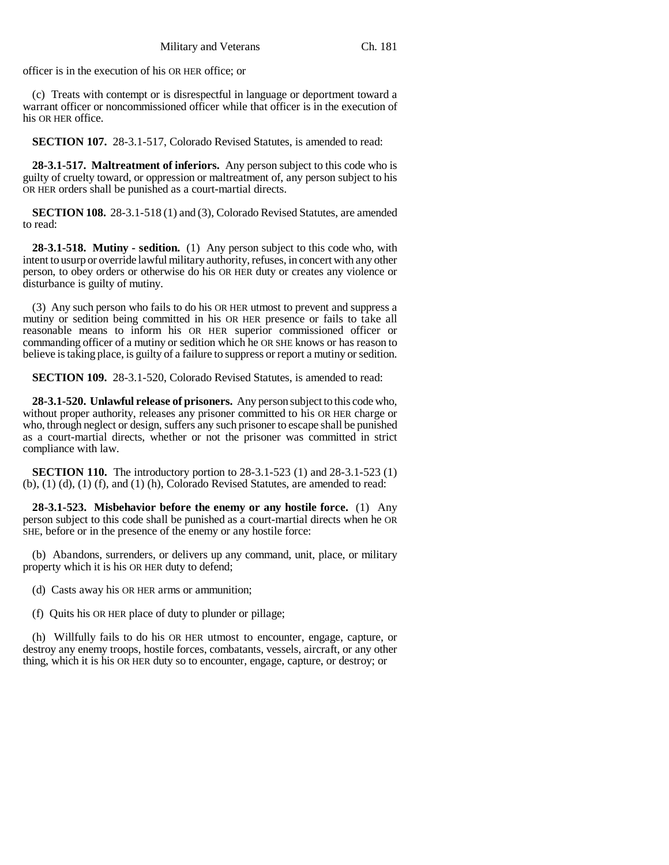officer is in the execution of his OR HER office; or

(c) Treats with contempt or is disrespectful in language or deportment toward a warrant officer or noncommissioned officer while that officer is in the execution of his OR HER office.

**SECTION 107.** 28-3.1-517, Colorado Revised Statutes, is amended to read:

**28-3.1-517. Maltreatment of inferiors.** Any person subject to this code who is guilty of cruelty toward, or oppression or maltreatment of, any person subject to his OR HER orders shall be punished as a court-martial directs.

**SECTION 108.** 28-3.1-518 (1) and (3), Colorado Revised Statutes, are amended to read:

**28-3.1-518. Mutiny - sedition.** (1) Any person subject to this code who, with intent to usurp or override lawful military authority, refuses, in concert with any other person, to obey orders or otherwise do his OR HER duty or creates any violence or disturbance is guilty of mutiny.

(3) Any such person who fails to do his OR HER utmost to prevent and suppress a mutiny or sedition being committed in his OR HER presence or fails to take all reasonable means to inform his OR HER superior commissioned officer or commanding officer of a mutiny or sedition which he OR SHE knows or has reason to believe is taking place, is guilty of a failure to suppress or report a mutiny or sedition.

**SECTION 109.** 28-3.1-520, Colorado Revised Statutes, is amended to read:

**28-3.1-520. Unlawful release of prisoners.** Any person subject to this code who, without proper authority, releases any prisoner committed to his OR HER charge or who, through neglect or design, suffers any such prisoner to escape shall be punished as a court-martial directs, whether or not the prisoner was committed in strict compliance with law.

**SECTION 110.** The introductory portion to 28-3.1-523 (1) and 28-3.1-523 (1)  $(b)$ ,  $(1)$   $(d)$ ,  $(1)$   $(f)$ , and  $(1)$   $(h)$ , Colorado Revised Statutes, are amended to read:

**28-3.1-523. Misbehavior before the enemy or any hostile force.** (1) Any person subject to this code shall be punished as a court-martial directs when he OR SHE, before or in the presence of the enemy or any hostile force:

(b) Abandons, surrenders, or delivers up any command, unit, place, or military property which it is his OR HER duty to defend;

(d) Casts away his OR HER arms or ammunition;

(f) Quits his OR HER place of duty to plunder or pillage;

(h) Willfully fails to do his OR HER utmost to encounter, engage, capture, or destroy any enemy troops, hostile forces, combatants, vessels, aircraft, or any other thing, which it is his OR HER duty so to encounter, engage, capture, or destroy; or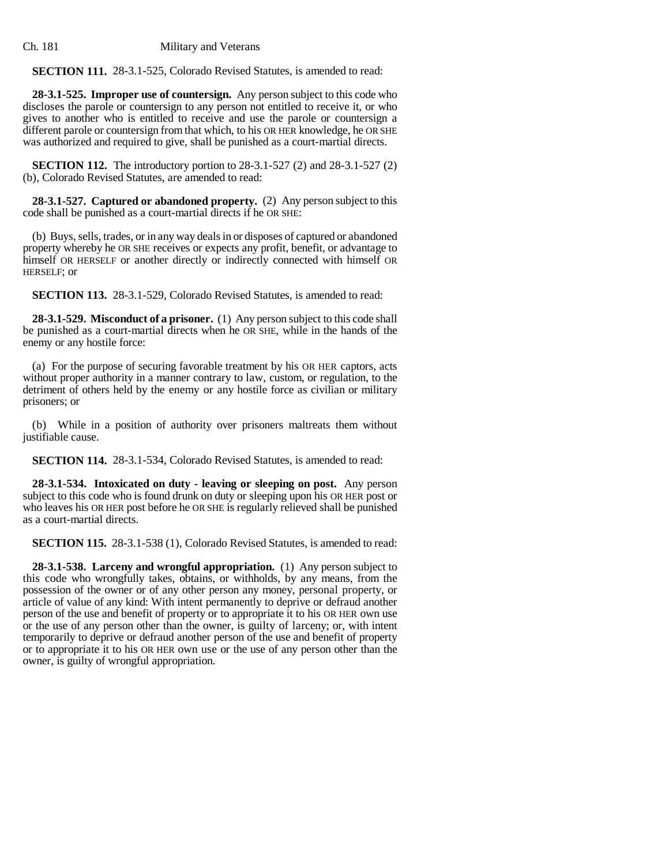**SECTION 111.** 28-3.1-525, Colorado Revised Statutes, is amended to read:

**28-3.1-525. Improper use of countersign.** Any person subject to this code who discloses the parole or countersign to any person not entitled to receive it, or who gives to another who is entitled to receive and use the parole or countersign a different parole or countersign from that which, to his OR HER knowledge, he OR SHE was authorized and required to give, shall be punished as a court-martial directs.

**SECTION 112.** The introductory portion to 28-3.1-527 (2) and 28-3.1-527 (2) (b), Colorado Revised Statutes, are amended to read:

**28-3.1-527. Captured or abandoned property.** (2) Any person subject to this code shall be punished as a court-martial directs if he OR SHE:

(b) Buys, sells, trades, or in any way deals in or disposes of captured or abandoned property whereby he OR SHE receives or expects any profit, benefit, or advantage to himself OR HERSELF or another directly or indirectly connected with himself OR HERSELF; or

**SECTION 113.** 28-3.1-529, Colorado Revised Statutes, is amended to read:

**28-3.1-529. Misconduct of a prisoner.** (1) Any person subject to this code shall be punished as a court-martial directs when he OR SHE, while in the hands of the enemy or any hostile force:

(a) For the purpose of securing favorable treatment by his OR HER captors, acts without proper authority in a manner contrary to law, custom, or regulation, to the detriment of others held by the enemy or any hostile force as civilian or military prisoners; or

(b) While in a position of authority over prisoners maltreats them without justifiable cause.

**SECTION 114.** 28-3.1-534, Colorado Revised Statutes, is amended to read:

**28-3.1-534. Intoxicated on duty - leaving or sleeping on post.** Any person subject to this code who is found drunk on duty or sleeping upon his OR HER post or who leaves his OR HER post before he OR SHE is regularly relieved shall be punished as a court-martial directs.

**SECTION 115.** 28-3.1-538 (1), Colorado Revised Statutes, is amended to read:

**28-3.1-538. Larceny and wrongful appropriation.** (1) Any person subject to this code who wrongfully takes, obtains, or withholds, by any means, from the possession of the owner or of any other person any money, personal property, or article of value of any kind: With intent permanently to deprive or defraud another person of the use and benefit of property or to appropriate it to his OR HER own use or the use of any person other than the owner, is guilty of larceny; or, with intent temporarily to deprive or defraud another person of the use and benefit of property or to appropriate it to his OR HER own use or the use of any person other than the owner, is guilty of wrongful appropriation.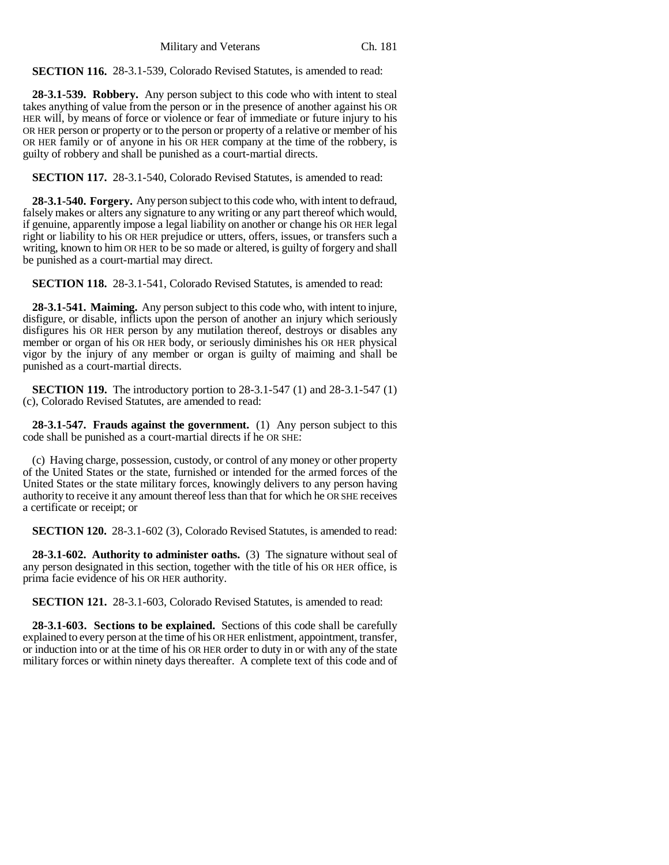**SECTION 116.** 28-3.1-539, Colorado Revised Statutes, is amended to read:

**28-3.1-539. Robbery.** Any person subject to this code who with intent to steal takes anything of value from the person or in the presence of another against his OR HER will, by means of force or violence or fear of immediate or future injury to his OR HER person or property or to the person or property of a relative or member of his OR HER family or of anyone in his OR HER company at the time of the robbery, is guilty of robbery and shall be punished as a court-martial directs.

**SECTION 117.** 28-3.1-540, Colorado Revised Statutes, is amended to read:

**28-3.1-540. Forgery.** Any person subject to this code who, with intent to defraud, falsely makes or alters any signature to any writing or any part thereof which would, if genuine, apparently impose a legal liability on another or change his OR HER legal right or liability to his OR HER prejudice or utters, offers, issues, or transfers such a writing, known to him OR HER to be so made or altered, is guilty of forgery and shall be punished as a court-martial may direct.

**SECTION 118.** 28-3.1-541, Colorado Revised Statutes, is amended to read:

**28-3.1-541. Maiming.** Any person subject to this code who, with intent to injure, disfigure, or disable, inflicts upon the person of another an injury which seriously disfigures his OR HER person by any mutilation thereof, destroys or disables any member or organ of his OR HER body, or seriously diminishes his OR HER physical vigor by the injury of any member or organ is guilty of maiming and shall be punished as a court-martial directs.

**SECTION 119.** The introductory portion to 28-3.1-547 (1) and 28-3.1-547 (1) (c), Colorado Revised Statutes, are amended to read:

**28-3.1-547. Frauds against the government.** (1) Any person subject to this code shall be punished as a court-martial directs if he OR SHE:

(c) Having charge, possession, custody, or control of any money or other property of the United States or the state, furnished or intended for the armed forces of the United States or the state military forces, knowingly delivers to any person having authority to receive it any amount thereof less than that for which he OR SHE receives a certificate or receipt; or

**SECTION 120.** 28-3.1-602 (3), Colorado Revised Statutes, is amended to read:

**28-3.1-602. Authority to administer oaths.** (3) The signature without seal of any person designated in this section, together with the title of his OR HER office, is prima facie evidence of his OR HER authority.

**SECTION 121.** 28-3.1-603, Colorado Revised Statutes, is amended to read:

**28-3.1-603. Sections to be explained.** Sections of this code shall be carefully explained to every person at the time of his OR HER enlistment, appointment, transfer, or induction into or at the time of his OR HER order to duty in or with any of the state military forces or within ninety days thereafter. A complete text of this code and of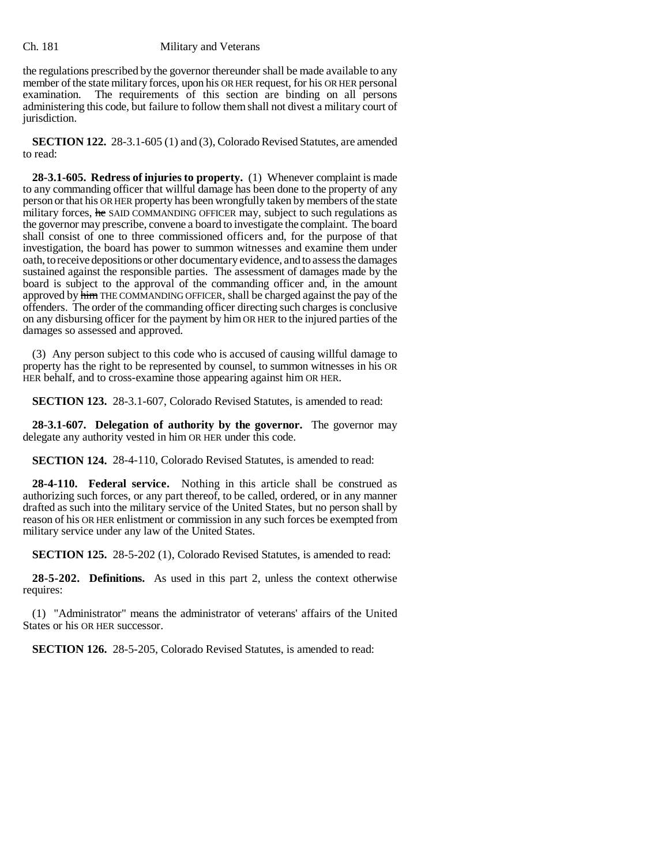the regulations prescribed by the governor thereunder shall be made available to any member of the state military forces, upon his OR HER request, for his OR HER personal examination. The requirements of this section are binding on all persons The requirements of this section are binding on all persons administering this code, but failure to follow them shall not divest a military court of jurisdiction.

**SECTION 122.** 28-3.1-605 (1) and (3), Colorado Revised Statutes, are amended to read:

**28-3.1-605. Redress of injuries to property.** (1) Whenever complaint is made to any commanding officer that willful damage has been done to the property of any person or that his OR HER property has been wrongfully taken by members of the state military forces, he SAID COMMANDING OFFICER may, subject to such regulations as the governor may prescribe, convene a board to investigate the complaint. The board shall consist of one to three commissioned officers and, for the purpose of that investigation, the board has power to summon witnesses and examine them under oath, to receive depositions or other documentary evidence, and to assess the damages sustained against the responsible parties. The assessment of damages made by the board is subject to the approval of the commanding officer and, in the amount approved by himTHE COMMANDING OFFICER, shall be charged against the pay of the offenders. The order of the commanding officer directing such charges is conclusive on any disbursing officer for the payment by him OR HER to the injured parties of the damages so assessed and approved.

(3) Any person subject to this code who is accused of causing willful damage to property has the right to be represented by counsel, to summon witnesses in his OR HER behalf, and to cross-examine those appearing against him OR HER.

**SECTION 123.** 28-3.1-607, Colorado Revised Statutes, is amended to read:

**28-3.1-607. Delegation of authority by the governor.** The governor may delegate any authority vested in him OR HER under this code.

**SECTION 124.** 28-4-110, Colorado Revised Statutes, is amended to read:

**28-4-110. Federal service.** Nothing in this article shall be construed as authorizing such forces, or any part thereof, to be called, ordered, or in any manner drafted as such into the military service of the United States, but no person shall by reason of his OR HER enlistment or commission in any such forces be exempted from military service under any law of the United States.

**SECTION 125.** 28-5-202 (1), Colorado Revised Statutes, is amended to read:

**28-5-202. Definitions.** As used in this part 2, unless the context otherwise requires:

(1) "Administrator" means the administrator of veterans' affairs of the United States or his OR HER successor.

**SECTION 126.** 28-5-205, Colorado Revised Statutes, is amended to read: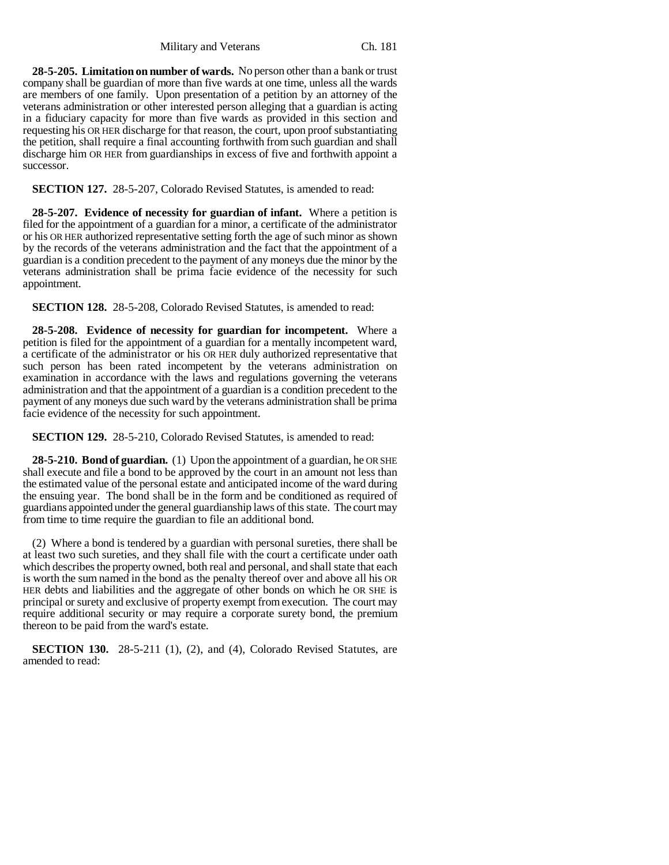**28-5-205. Limitation on number of wards.** No person other than a bank or trust company shall be guardian of more than five wards at one time, unless all the wards are members of one family. Upon presentation of a petition by an attorney of the veterans administration or other interested person alleging that a guardian is acting in a fiduciary capacity for more than five wards as provided in this section and requesting his OR HER discharge for that reason, the court, upon proof substantiating the petition, shall require a final accounting forthwith from such guardian and shall discharge him OR HER from guardianships in excess of five and forthwith appoint a successor.

**SECTION 127.** 28-5-207, Colorado Revised Statutes, is amended to read:

**28-5-207. Evidence of necessity for guardian of infant.** Where a petition is filed for the appointment of a guardian for a minor, a certificate of the administrator or his OR HER authorized representative setting forth the age of such minor as shown by the records of the veterans administration and the fact that the appointment of a guardian is a condition precedent to the payment of any moneys due the minor by the veterans administration shall be prima facie evidence of the necessity for such appointment.

**SECTION 128.** 28-5-208, Colorado Revised Statutes, is amended to read:

**28-5-208. Evidence of necessity for guardian for incompetent.** Where a petition is filed for the appointment of a guardian for a mentally incompetent ward, a certificate of the administrator or his OR HER duly authorized representative that such person has been rated incompetent by the veterans administration on examination in accordance with the laws and regulations governing the veterans administration and that the appointment of a guardian is a condition precedent to the payment of any moneys due such ward by the veterans administration shall be prima facie evidence of the necessity for such appointment.

**SECTION 129.** 28-5-210, Colorado Revised Statutes, is amended to read:

**28-5-210. Bond of guardian.** (1) Upon the appointment of a guardian, he OR SHE shall execute and file a bond to be approved by the court in an amount not less than the estimated value of the personal estate and anticipated income of the ward during the ensuing year. The bond shall be in the form and be conditioned as required of guardians appointed under the general guardianship laws of this state. The court may from time to time require the guardian to file an additional bond.

(2) Where a bond is tendered by a guardian with personal sureties, there shall be at least two such sureties, and they shall file with the court a certificate under oath which describes the property owned, both real and personal, and shall state that each is worth the sum named in the bond as the penalty thereof over and above all his OR HER debts and liabilities and the aggregate of other bonds on which he OR SHE is principal or surety and exclusive of property exempt from execution. The court may require additional security or may require a corporate surety bond, the premium thereon to be paid from the ward's estate.

**SECTION 130.** 28-5-211 (1), (2), and (4), Colorado Revised Statutes, are amended to read: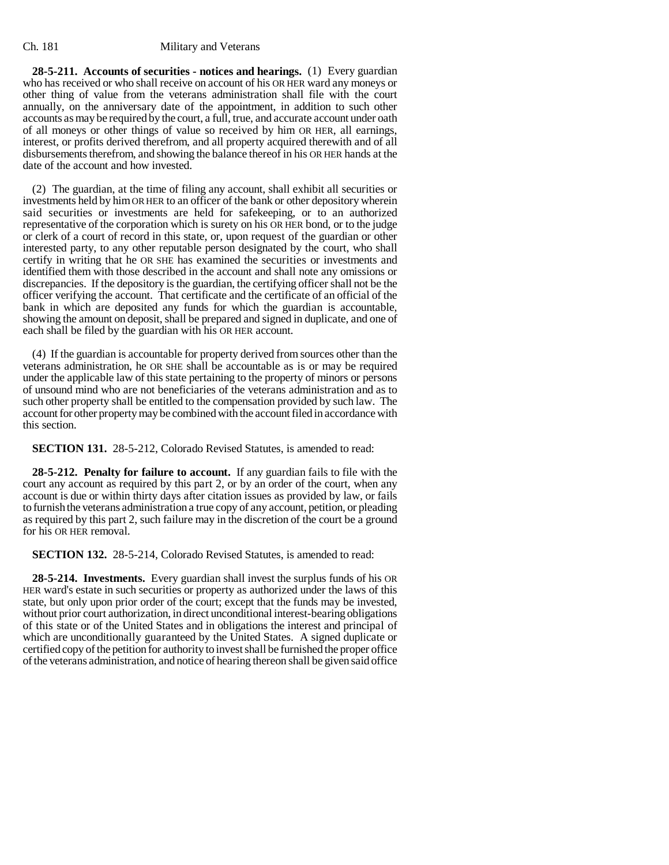**28-5-211. Accounts of securities - notices and hearings.** (1) Every guardian who has received or who shall receive on account of his OR HER ward any moneys or other thing of value from the veterans administration shall file with the court annually, on the anniversary date of the appointment, in addition to such other accounts as may be required by the court, a full, true, and accurate account under oath of all moneys or other things of value so received by him OR HER, all earnings, interest, or profits derived therefrom, and all property acquired therewith and of all disbursements therefrom, and showing the balance thereof in his OR HER hands at the date of the account and how invested.

(2) The guardian, at the time of filing any account, shall exhibit all securities or investments held by him OR HER to an officer of the bank or other depository wherein said securities or investments are held for safekeeping, or to an authorized representative of the corporation which is surety on his OR HER bond, or to the judge or clerk of a court of record in this state, or, upon request of the guardian or other interested party, to any other reputable person designated by the court, who shall certify in writing that he OR SHE has examined the securities or investments and identified them with those described in the account and shall note any omissions or discrepancies. If the depository is the guardian, the certifying officer shall not be the officer verifying the account. That certificate and the certificate of an official of the bank in which are deposited any funds for which the guardian is accountable, showing the amount on deposit, shall be prepared and signed in duplicate, and one of each shall be filed by the guardian with his OR HER account.

(4) If the guardian is accountable for property derived from sources other than the veterans administration, he OR SHE shall be accountable as is or may be required under the applicable law of this state pertaining to the property of minors or persons of unsound mind who are not beneficiaries of the veterans administration and as to such other property shall be entitled to the compensation provided by such law. The account for other property may be combined with the account filed in accordance with this section.

**SECTION 131.** 28-5-212, Colorado Revised Statutes, is amended to read:

**28-5-212. Penalty for failure to account.** If any guardian fails to file with the court any account as required by this part 2, or by an order of the court, when any account is due or within thirty days after citation issues as provided by law, or fails to furnish the veterans administration a true copy of any account, petition, or pleading as required by this part 2, such failure may in the discretion of the court be a ground for his OR HER removal.

**SECTION 132.** 28-5-214, Colorado Revised Statutes, is amended to read:

**28-5-214. Investments.** Every guardian shall invest the surplus funds of his OR HER ward's estate in such securities or property as authorized under the laws of this state, but only upon prior order of the court; except that the funds may be invested, without prior court authorization, in direct unconditional interest-bearing obligations of this state or of the United States and in obligations the interest and principal of which are unconditionally guaranteed by the United States. A signed duplicate or certified copy of the petition for authority to invest shall be furnished the proper office of the veterans administration, and notice of hearing thereon shall be given said office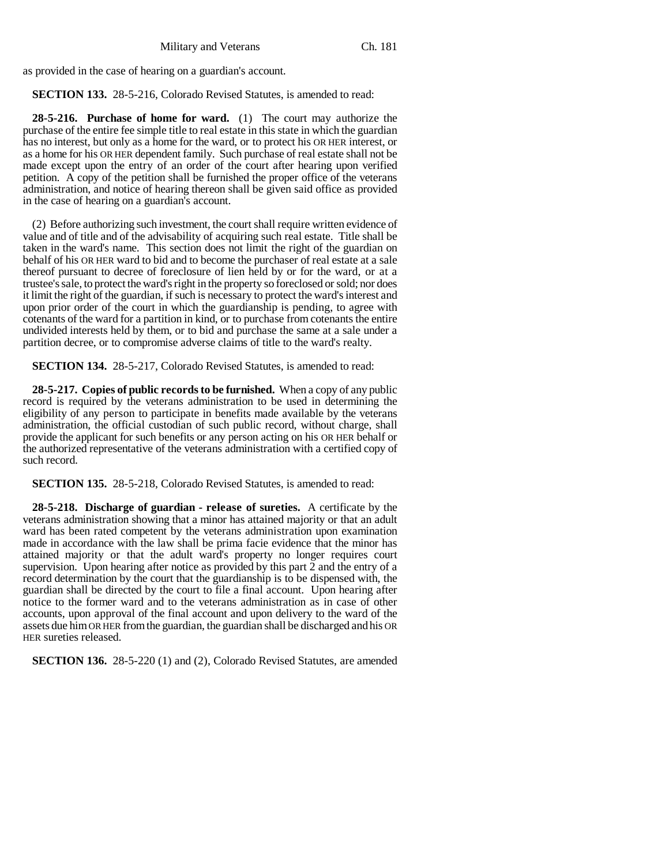as provided in the case of hearing on a guardian's account.

**SECTION 133.** 28-5-216, Colorado Revised Statutes, is amended to read:

**28-5-216. Purchase of home for ward.** (1) The court may authorize the purchase of the entire fee simple title to real estate in this state in which the guardian has no interest, but only as a home for the ward, or to protect his OR HER interest, or as a home for his OR HER dependent family. Such purchase of real estate shall not be made except upon the entry of an order of the court after hearing upon verified petition. A copy of the petition shall be furnished the proper office of the veterans administration, and notice of hearing thereon shall be given said office as provided in the case of hearing on a guardian's account.

(2) Before authorizing such investment, the court shall require written evidence of value and of title and of the advisability of acquiring such real estate. Title shall be taken in the ward's name. This section does not limit the right of the guardian on behalf of his OR HER ward to bid and to become the purchaser of real estate at a sale thereof pursuant to decree of foreclosure of lien held by or for the ward, or at a trustee's sale, to protect the ward's right in the property so foreclosed or sold; nor does it limit the right of the guardian, if such is necessary to protect the ward's interest and upon prior order of the court in which the guardianship is pending, to agree with cotenants of the ward for a partition in kind, or to purchase from cotenants the entire undivided interests held by them, or to bid and purchase the same at a sale under a partition decree, or to compromise adverse claims of title to the ward's realty.

**SECTION 134.** 28-5-217, Colorado Revised Statutes, is amended to read:

**28-5-217. Copies of public records to be furnished.** When a copy of any public record is required by the veterans administration to be used in determining the eligibility of any person to participate in benefits made available by the veterans administration, the official custodian of such public record, without charge, shall provide the applicant for such benefits or any person acting on his OR HER behalf or the authorized representative of the veterans administration with a certified copy of such record.

**SECTION 135.** 28-5-218, Colorado Revised Statutes, is amended to read:

**28-5-218. Discharge of guardian - release of sureties.** A certificate by the veterans administration showing that a minor has attained majority or that an adult ward has been rated competent by the veterans administration upon examination made in accordance with the law shall be prima facie evidence that the minor has attained majority or that the adult ward's property no longer requires court supervision. Upon hearing after notice as provided by this part  $\tilde{2}$  and the entry of a record determination by the court that the guardianship is to be dispensed with, the guardian shall be directed by the court to file a final account. Upon hearing after notice to the former ward and to the veterans administration as in case of other accounts, upon approval of the final account and upon delivery to the ward of the assets due him OR HER from the guardian, the guardian shall be discharged and his OR HER sureties released.

**SECTION 136.** 28-5-220 (1) and (2), Colorado Revised Statutes, are amended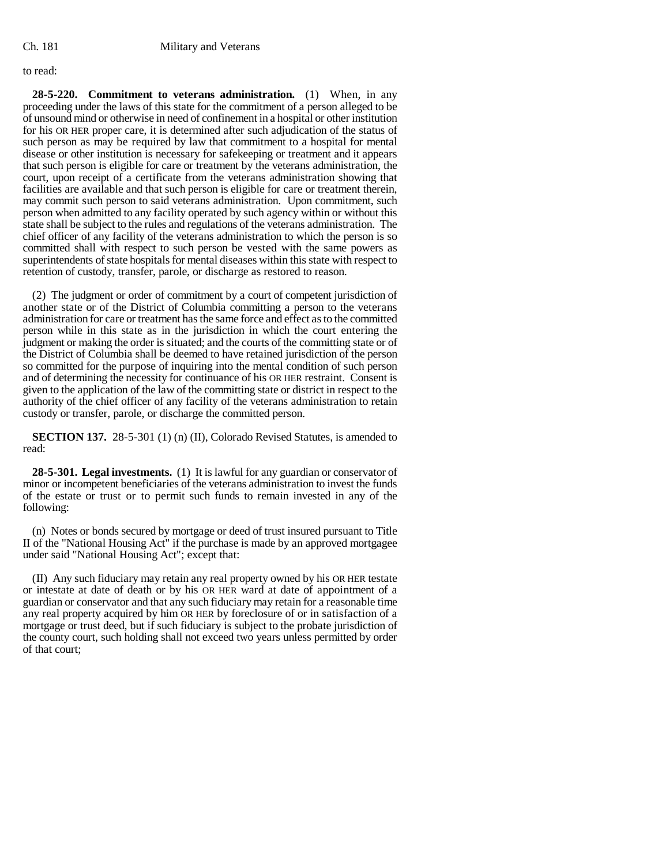### to read:

**28-5-220. Commitment to veterans administration.** (1) When, in any proceeding under the laws of this state for the commitment of a person alleged to be of unsound mind or otherwise in need of confinement in a hospital or other institution for his OR HER proper care, it is determined after such adjudication of the status of such person as may be required by law that commitment to a hospital for mental disease or other institution is necessary for safekeeping or treatment and it appears that such person is eligible for care or treatment by the veterans administration, the court, upon receipt of a certificate from the veterans administration showing that facilities are available and that such person is eligible for care or treatment therein, may commit such person to said veterans administration. Upon commitment, such person when admitted to any facility operated by such agency within or without this state shall be subject to the rules and regulations of the veterans administration. The chief officer of any facility of the veterans administration to which the person is so committed shall with respect to such person be vested with the same powers as superintendents of state hospitals for mental diseases within this state with respect to retention of custody, transfer, parole, or discharge as restored to reason.

(2) The judgment or order of commitment by a court of competent jurisdiction of another state or of the District of Columbia committing a person to the veterans administration for care or treatment has the same force and effect as to the committed person while in this state as in the jurisdiction in which the court entering the judgment or making the order is situated; and the courts of the committing state or of the District of Columbia shall be deemed to have retained jurisdiction of the person so committed for the purpose of inquiring into the mental condition of such person and of determining the necessity for continuance of his OR HER restraint. Consent is given to the application of the law of the committing state or district in respect to the authority of the chief officer of any facility of the veterans administration to retain custody or transfer, parole, or discharge the committed person.

**SECTION 137.** 28-5-301 (1) (n) (II), Colorado Revised Statutes, is amended to read:

**28-5-301. Legal investments.** (1) It is lawful for any guardian or conservator of minor or incompetent beneficiaries of the veterans administration to invest the funds of the estate or trust or to permit such funds to remain invested in any of the following:

(n) Notes or bonds secured by mortgage or deed of trust insured pursuant to Title II of the "National Housing Act" if the purchase is made by an approved mortgagee under said "National Housing Act"; except that:

(II) Any such fiduciary may retain any real property owned by his OR HER testate or intestate at date of death or by his OR HER ward at date of appointment of a guardian or conservator and that any such fiduciary may retain for a reasonable time any real property acquired by him OR HER by foreclosure of or in satisfaction of a mortgage or trust deed, but if such fiduciary is subject to the probate jurisdiction of the county court, such holding shall not exceed two years unless permitted by order of that court;